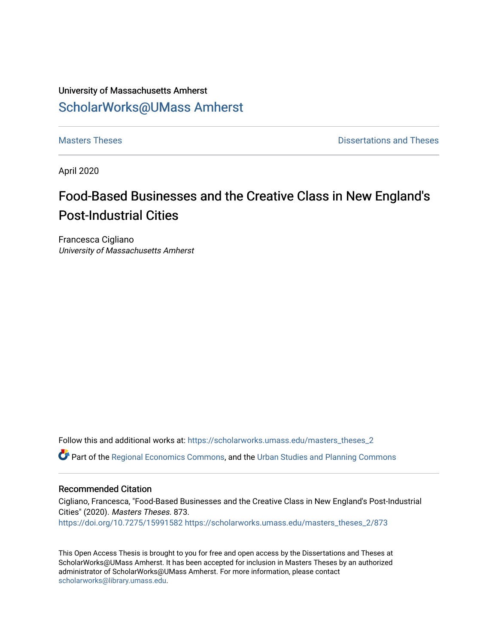# University of Massachusetts Amherst [ScholarWorks@UMass Amherst](https://scholarworks.umass.edu/)

**[Masters Theses](https://scholarworks.umass.edu/masters_theses_2) Contract Contract Contract Contract Contract Contract Contract Contract Contract Contract Contract Contract Contract Contract Contract Contract Contract Contract Contract Contract Contract Contract Contra** 

April 2020

# Food-Based Businesses and the Creative Class in New England's Post-Industrial Cities

Francesca Cigliano University of Massachusetts Amherst

Follow this and additional works at: [https://scholarworks.umass.edu/masters\\_theses\\_2](https://scholarworks.umass.edu/masters_theses_2?utm_source=scholarworks.umass.edu%2Fmasters_theses_2%2F873&utm_medium=PDF&utm_campaign=PDFCoverPages) 

Part of the [Regional Economics Commons](http://network.bepress.com/hgg/discipline/1307?utm_source=scholarworks.umass.edu%2Fmasters_theses_2%2F873&utm_medium=PDF&utm_campaign=PDFCoverPages), and the [Urban Studies and Planning Commons](http://network.bepress.com/hgg/discipline/436?utm_source=scholarworks.umass.edu%2Fmasters_theses_2%2F873&utm_medium=PDF&utm_campaign=PDFCoverPages)

### Recommended Citation

Cigliano, Francesca, "Food-Based Businesses and the Creative Class in New England's Post-Industrial Cities" (2020). Masters Theses. 873. <https://doi.org/10.7275/15991582> [https://scholarworks.umass.edu/masters\\_theses\\_2/873](https://scholarworks.umass.edu/masters_theses_2/873?utm_source=scholarworks.umass.edu%2Fmasters_theses_2%2F873&utm_medium=PDF&utm_campaign=PDFCoverPages) 

This Open Access Thesis is brought to you for free and open access by the Dissertations and Theses at ScholarWorks@UMass Amherst. It has been accepted for inclusion in Masters Theses by an authorized administrator of ScholarWorks@UMass Amherst. For more information, please contact [scholarworks@library.umass.edu.](mailto:scholarworks@library.umass.edu)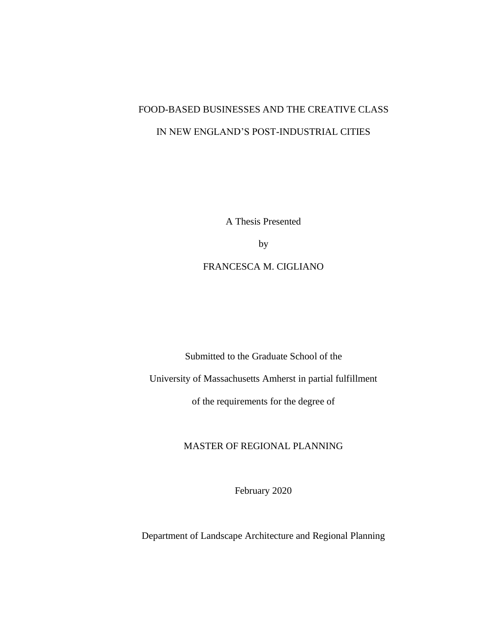# FOOD-BASED BUSINESSES AND THE CREATIVE CLASS IN NEW ENGLAND'S POST-INDUSTRIAL CITIES

A Thesis Presented

by

FRANCESCA M. CIGLIANO

Submitted to the Graduate School of the

University of Massachusetts Amherst in partial fulfillment

of the requirements for the degree of

MASTER OF REGIONAL PLANNING

February 2020

Department of Landscape Architecture and Regional Planning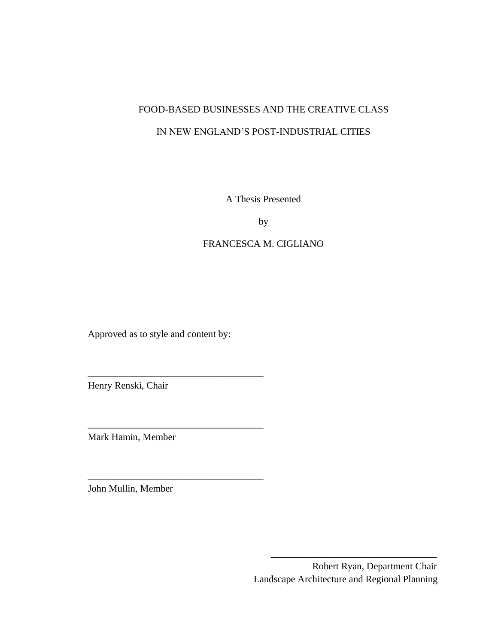# FOOD-BASED BUSINESSES AND THE CREATIVE CLASS

### IN NEW ENGLAND'S POST-INDUSTRIAL CITIES

A Thesis Presented

by

### FRANCESCA M. CIGLIANO

\_\_\_\_\_\_\_\_\_\_\_\_\_\_\_\_\_\_\_\_\_\_\_\_\_\_\_\_\_\_\_\_\_\_

Approved as to style and content by:

\_\_\_\_\_\_\_\_\_\_\_\_\_\_\_\_\_\_\_\_\_\_\_\_\_\_\_\_\_\_\_\_\_\_\_\_

\_\_\_\_\_\_\_\_\_\_\_\_\_\_\_\_\_\_\_\_\_\_\_\_\_\_\_\_\_\_\_\_\_\_\_\_

\_\_\_\_\_\_\_\_\_\_\_\_\_\_\_\_\_\_\_\_\_\_\_\_\_\_\_\_\_\_\_\_\_\_\_\_

Henry Renski, Chair

Mark Hamin, Member

John Mullin, Member

 Robert Ryan, Department Chair Landscape Architecture and Regional Planning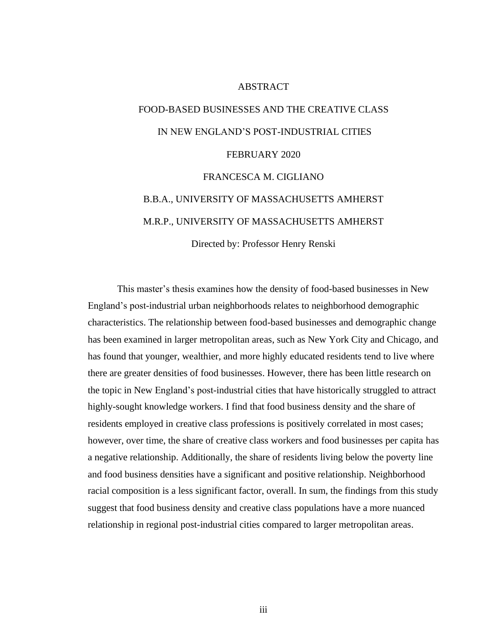### ABSTRACT

# <span id="page-3-0"></span>FOOD-BASED BUSINESSES AND THE CREATIVE CLASS IN NEW ENGLAND'S POST-INDUSTRIAL CITIES FEBRUARY 2020 FRANCESCA M. CIGLIANO B.B.A., UNIVERSITY OF MASSACHUSETTS AMHERST M.R.P., UNIVERSITY OF MASSACHUSETTS AMHERST

Directed by: Professor Henry Renski

This master's thesis examines how the density of food-based businesses in New England's post-industrial urban neighborhoods relates to neighborhood demographic characteristics. The relationship between food-based businesses and demographic change has been examined in larger metropolitan areas, such as New York City and Chicago, and has found that younger, wealthier, and more highly educated residents tend to live where there are greater densities of food businesses. However, there has been little research on the topic in New England's post-industrial cities that have historically struggled to attract highly-sought knowledge workers. I find that food business density and the share of residents employed in creative class professions is positively correlated in most cases; however, over time, the share of creative class workers and food businesses per capita has a negative relationship. Additionally, the share of residents living below the poverty line and food business densities have a significant and positive relationship. Neighborhood racial composition is a less significant factor, overall. In sum, the findings from this study suggest that food business density and creative class populations have a more nuanced relationship in regional post-industrial cities compared to larger metropolitan areas.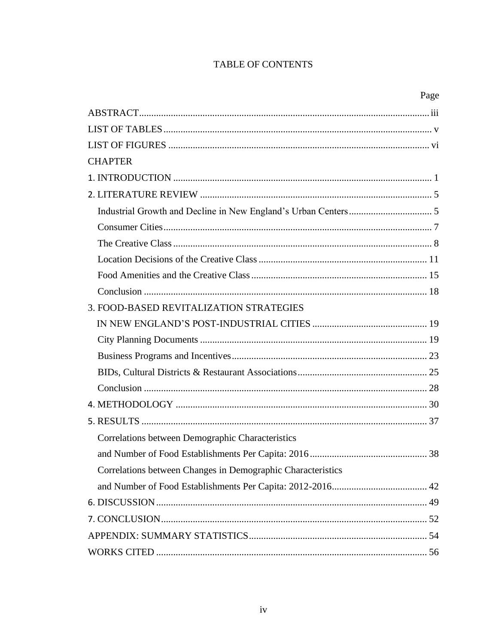# TABLE OF CONTENTS

|--|

| <b>CHAPTER</b>                                              |  |
|-------------------------------------------------------------|--|
|                                                             |  |
|                                                             |  |
|                                                             |  |
|                                                             |  |
|                                                             |  |
|                                                             |  |
|                                                             |  |
|                                                             |  |
| 3. FOOD-BASED REVITALIZATION STRATEGIES                     |  |
|                                                             |  |
|                                                             |  |
|                                                             |  |
|                                                             |  |
|                                                             |  |
|                                                             |  |
|                                                             |  |
| Correlations between Demographic Characteristics            |  |
|                                                             |  |
| Correlations between Changes in Demographic Characteristics |  |
|                                                             |  |
|                                                             |  |
|                                                             |  |
|                                                             |  |
|                                                             |  |
|                                                             |  |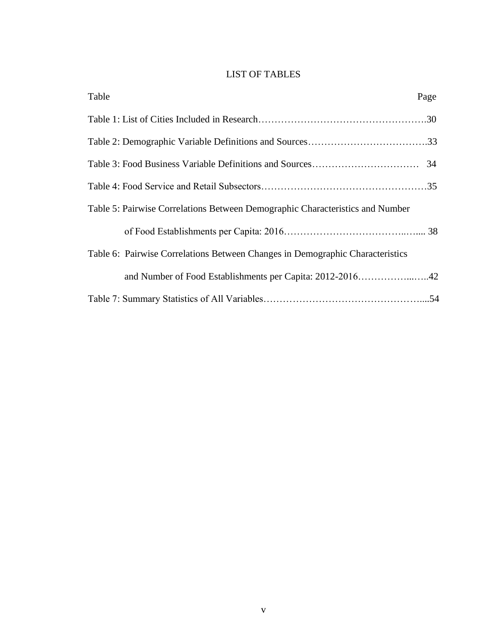### LIST OF TABLES

<span id="page-5-0"></span>

| Table<br>Page                                                                 |  |
|-------------------------------------------------------------------------------|--|
|                                                                               |  |
|                                                                               |  |
|                                                                               |  |
|                                                                               |  |
| Table 5: Pairwise Correlations Between Demographic Characteristics and Number |  |
|                                                                               |  |
| Table 6: Pairwise Correlations Between Changes in Demographic Characteristics |  |
| and Number of Food Establishments per Capita: 2012-201642                     |  |
|                                                                               |  |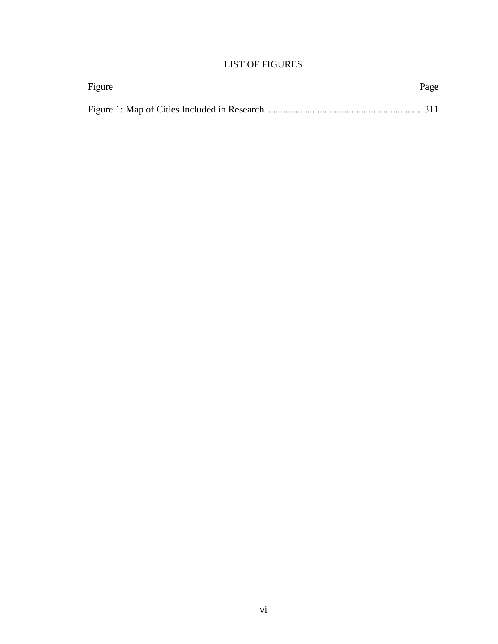## LIST OF FIGURES

<span id="page-6-0"></span>

| Figure | Page |
|--------|------|
|        |      |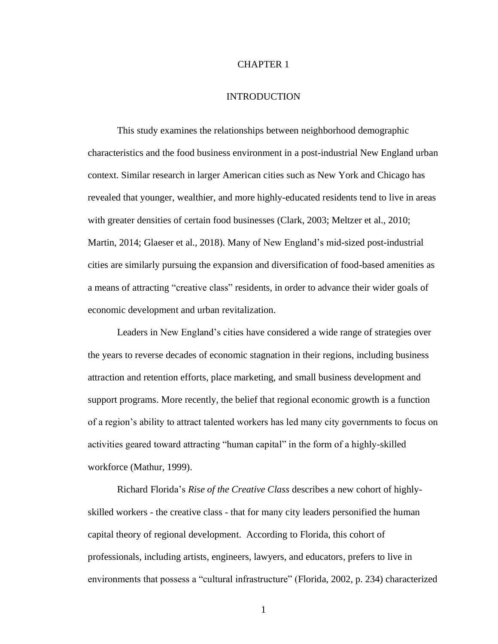### CHAPTER 1

### INTRODUCTION

<span id="page-7-0"></span>This study examines the relationships between neighborhood demographic characteristics and the food business environment in a post-industrial New England urban context. Similar research in larger American cities such as New York and Chicago has revealed that younger, wealthier, and more highly-educated residents tend to live in areas with greater densities of certain food businesses (Clark, 2003; Meltzer et al., 2010; Martin, 2014; Glaeser et al., 2018). Many of New England's mid-sized post-industrial cities are similarly pursuing the expansion and diversification of food-based amenities as a means of attracting "creative class" residents, in order to advance their wider goals of economic development and urban revitalization.

Leaders in New England's cities have considered a wide range of strategies over the years to reverse decades of economic stagnation in their regions, including business attraction and retention efforts, place marketing, and small business development and support programs. More recently, the belief that regional economic growth is a function of a region's ability to attract talented workers has led many city governments to focus on activities geared toward attracting "human capital" in the form of a highly-skilled workforce (Mathur, 1999).

Richard Florida's *Rise of the Creative Class* describes a new cohort of highlyskilled workers - the creative class - that for many city leaders personified the human capital theory of regional development. According to Florida, this cohort of professionals, including artists, engineers, lawyers, and educators, prefers to live in environments that possess a "cultural infrastructure" (Florida, 2002, p. 234) characterized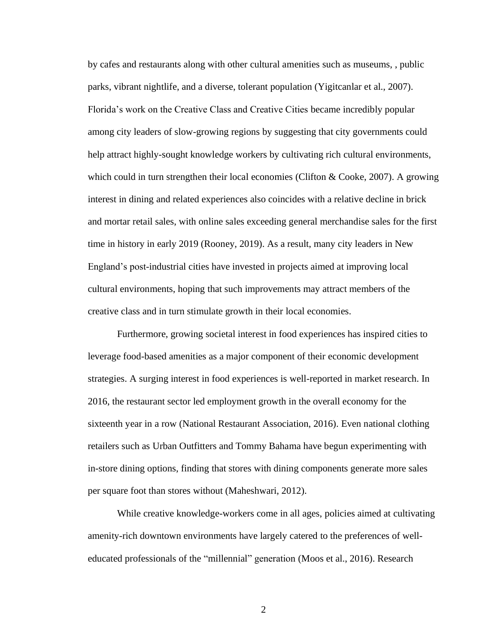by cafes and restaurants along with other cultural amenities such as museums, , public parks, vibrant nightlife, and a diverse, tolerant population (Yigitcanlar et al., 2007). Florida's work on the Creative Class and Creative Cities became incredibly popular among city leaders of slow-growing regions by suggesting that city governments could help attract highly-sought knowledge workers by cultivating rich cultural environments, which could in turn strengthen their local economies (Clifton & Cooke, 2007). A growing interest in dining and related experiences also coincides with a relative decline in brick and mortar retail sales, with online sales exceeding general merchandise sales for the first time in history in early 2019 (Rooney, 2019). As a result, many city leaders in New England's post-industrial cities have invested in projects aimed at improving local cultural environments, hoping that such improvements may attract members of the creative class and in turn stimulate growth in their local economies.

Furthermore, growing societal interest in food experiences has inspired cities to leverage food-based amenities as a major component of their economic development strategies. A surging interest in food experiences is well-reported in market research. In 2016, the restaurant sector led employment growth in the overall economy for the sixteenth year in a row (National Restaurant Association, 2016). Even national clothing retailers such as Urban Outfitters and Tommy Bahama have begun experimenting with in-store dining options, finding that stores with dining components generate more sales per square foot than stores without (Maheshwari, 2012).

While creative knowledge-workers come in all ages, policies aimed at cultivating amenity-rich downtown environments have largely catered to the preferences of welleducated professionals of the "millennial" generation (Moos et al., 2016). Research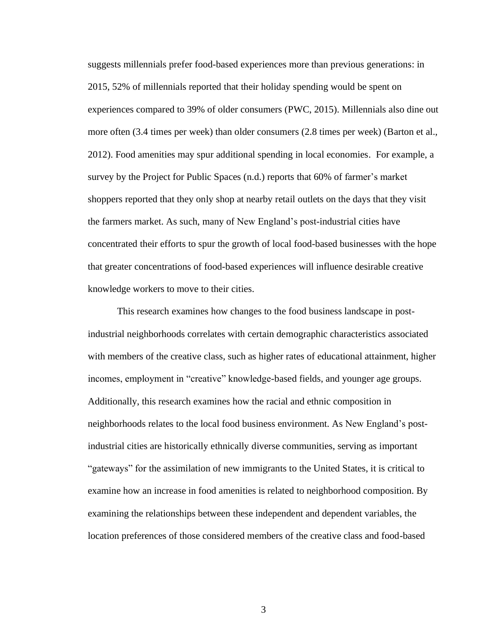suggests millennials prefer food-based experiences more than previous generations: in 2015, 52% of millennials reported that their holiday spending would be spent on experiences compared to 39% of older consumers (PWC, 2015). Millennials also dine out more often (3.4 times per week) than older consumers (2.8 times per week) (Barton et al., 2012). Food amenities may spur additional spending in local economies. For example, a survey by the Project for Public Spaces (n.d.) reports that 60% of farmer's market shoppers reported that they only shop at nearby retail outlets on the days that they visit the farmers market. As such, many of New England's post-industrial cities have concentrated their efforts to spur the growth of local food-based businesses with the hope that greater concentrations of food-based experiences will influence desirable creative knowledge workers to move to their cities.

This research examines how changes to the food business landscape in postindustrial neighborhoods correlates with certain demographic characteristics associated with members of the creative class, such as higher rates of educational attainment, higher incomes, employment in "creative" knowledge-based fields, and younger age groups. Additionally, this research examines how the racial and ethnic composition in neighborhoods relates to the local food business environment. As New England's postindustrial cities are historically ethnically diverse communities, serving as important "gateways" for the assimilation of new immigrants to the United States, it is critical to examine how an increase in food amenities is related to neighborhood composition. By examining the relationships between these independent and dependent variables, the location preferences of those considered members of the creative class and food-based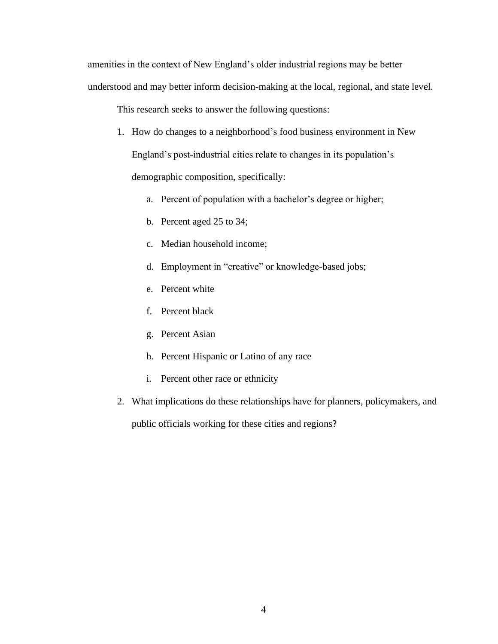amenities in the context of New England's older industrial regions may be better understood and may better inform decision-making at the local, regional, and state level.

This research seeks to answer the following questions:

- 1. How do changes to a neighborhood's food business environment in New England's post-industrial cities relate to changes in its population's demographic composition, specifically:
	- a. Percent of population with a bachelor's degree or higher;
	- b. Percent aged 25 to 34;
	- c. Median household income;
	- d. Employment in "creative" or knowledge-based jobs;
	- e. Percent white
	- f. Percent black
	- g. Percent Asian
	- h. Percent Hispanic or Latino of any race
	- i. Percent other race or ethnicity
- 2. What implications do these relationships have for planners, policymakers, and public officials working for these cities and regions?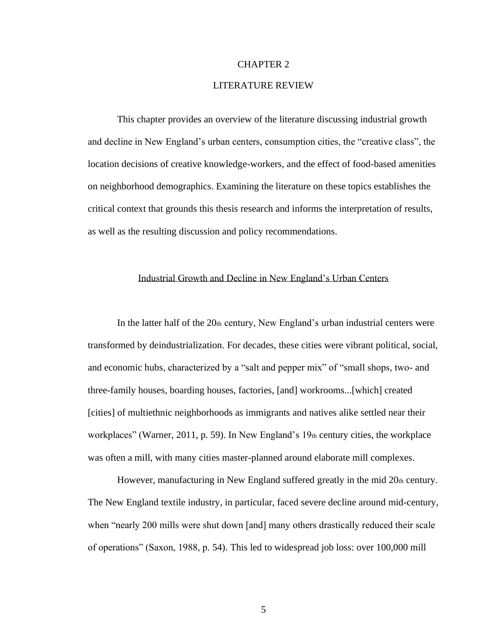#### CHAPTER 2

### LITERATURE REVIEW

<span id="page-11-0"></span>This chapter provides an overview of the literature discussing industrial growth and decline in New England's urban centers, consumption cities, the "creative class", the location decisions of creative knowledge-workers, and the effect of food-based amenities on neighborhood demographics. Examining the literature on these topics establishes the critical context that grounds this thesis research and informs the interpretation of results, as well as the resulting discussion and policy recommendations.

### Industrial Growth and Decline in New England's Urban Centers

<span id="page-11-1"></span>In the latter half of the 20th century, New England's urban industrial centers were transformed by deindustrialization. For decades, these cities were vibrant political, social, and economic hubs, characterized by a "salt and pepper mix" of "small shops, two- and three-family houses, boarding houses, factories, [and] workrooms...[which] created [cities] of multiethnic neighborhoods as immigrants and natives alike settled near their workplaces" (Warner, 2011, p. 59). In New England's 19th century cities, the workplace was often a mill, with many cities master-planned around elaborate mill complexes.

However, manufacturing in New England suffered greatly in the mid 20th century. The New England textile industry, in particular, faced severe decline around mid-century, when "nearly 200 mills were shut down [and] many others drastically reduced their scale of operations" (Saxon, 1988, p. 54). This led to widespread job loss: over 100,000 mill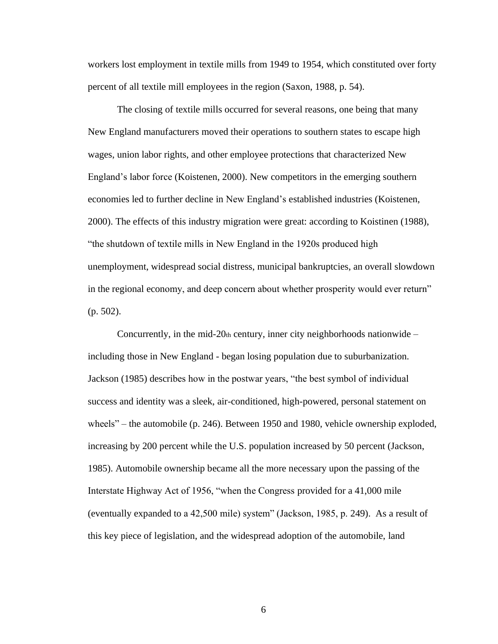workers lost employment in textile mills from 1949 to 1954, which constituted over forty percent of all textile mill employees in the region (Saxon, 1988, p. 54).

The closing of textile mills occurred for several reasons, one being that many New England manufacturers moved their operations to southern states to escape high wages, union labor rights, and other employee protections that characterized New England's labor force (Koistenen, 2000). New competitors in the emerging southern economies led to further decline in New England's established industries (Koistenen, 2000). The effects of this industry migration were great: according to Koistinen (1988), "the shutdown of textile mills in New England in the 1920s produced high unemployment, widespread social distress, municipal bankruptcies, an overall slowdown in the regional economy, and deep concern about whether prosperity would ever return" (p. 502).

Concurrently, in the mid-20th century, inner city neighborhoods nationwide  $$ including those in New England - began losing population due to suburbanization. Jackson (1985) describes how in the postwar years, "the best symbol of individual success and identity was a sleek, air-conditioned, high-powered, personal statement on wheels" – the automobile (p. 246). Between 1950 and 1980, vehicle ownership exploded, increasing by 200 percent while the U.S. population increased by 50 percent (Jackson, 1985). Automobile ownership became all the more necessary upon the passing of the Interstate Highway Act of 1956, "when the Congress provided for a 41,000 mile (eventually expanded to a 42,500 mile) system" (Jackson, 1985, p. 249). As a result of this key piece of legislation, and the widespread adoption of the automobile, land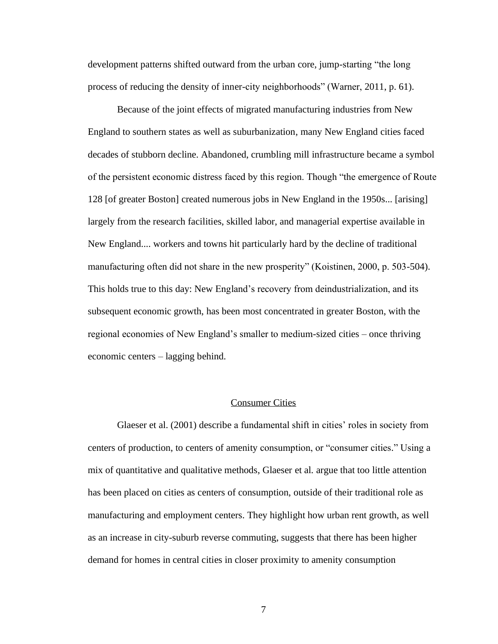development patterns shifted outward from the urban core, jump-starting "the long process of reducing the density of inner-city neighborhoods" (Warner, 2011, p. 61).

Because of the joint effects of migrated manufacturing industries from New England to southern states as well as suburbanization, many New England cities faced decades of stubborn decline. Abandoned, crumbling mill infrastructure became a symbol of the persistent economic distress faced by this region. Though "the emergence of Route 128 [of greater Boston] created numerous jobs in New England in the 1950s... [arising] largely from the research facilities, skilled labor, and managerial expertise available in New England.... workers and towns hit particularly hard by the decline of traditional manufacturing often did not share in the new prosperity" (Koistinen, 2000, p. 503-504). This holds true to this day: New England's recovery from deindustrialization, and its subsequent economic growth, has been most concentrated in greater Boston, with the regional economies of New England's smaller to medium-sized cities – once thriving economic centers – lagging behind.

### Consumer Cities

<span id="page-13-0"></span>Glaeser et al. (2001) describe a fundamental shift in cities' roles in society from centers of production, to centers of amenity consumption, or "consumer cities." Using a mix of quantitative and qualitative methods, Glaeser et al. argue that too little attention has been placed on cities as centers of consumption, outside of their traditional role as manufacturing and employment centers. They highlight how urban rent growth, as well as an increase in city-suburb reverse commuting, suggests that there has been higher demand for homes in central cities in closer proximity to amenity consumption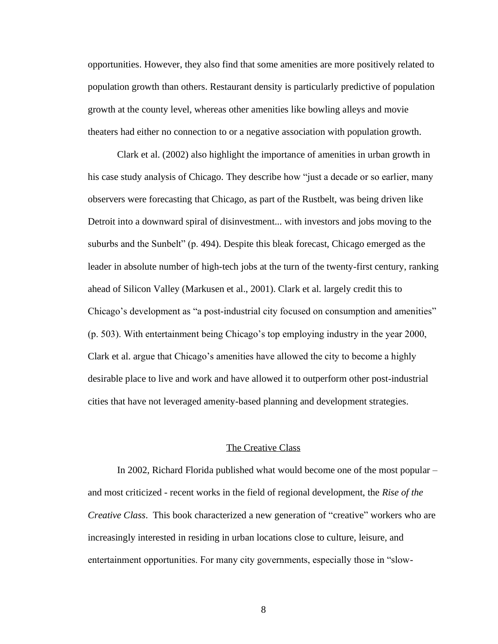opportunities. However, they also find that some amenities are more positively related to population growth than others. Restaurant density is particularly predictive of population growth at the county level, whereas other amenities like bowling alleys and movie theaters had either no connection to or a negative association with population growth.

Clark et al. (2002) also highlight the importance of amenities in urban growth in his case study analysis of Chicago. They describe how "just a decade or so earlier, many observers were forecasting that Chicago, as part of the Rustbelt, was being driven like Detroit into a downward spiral of disinvestment... with investors and jobs moving to the suburbs and the Sunbelt" (p. 494). Despite this bleak forecast, Chicago emerged as the leader in absolute number of high-tech jobs at the turn of the twenty-first century, ranking ahead of Silicon Valley (Markusen et al., 2001). Clark et al. largely credit this to Chicago's development as "a post-industrial city focused on consumption and amenities" (p. 503). With entertainment being Chicago's top employing industry in the year 2000, Clark et al. argue that Chicago's amenities have allowed the city to become a highly desirable place to live and work and have allowed it to outperform other post-industrial cities that have not leveraged amenity-based planning and development strategies.

### The Creative Class

<span id="page-14-0"></span>In 2002, Richard Florida published what would become one of the most popular – and most criticized - recent works in the field of regional development, the *Rise of the Creative Class*. This book characterized a new generation of "creative" workers who are increasingly interested in residing in urban locations close to culture, leisure, and entertainment opportunities. For many city governments, especially those in "slow-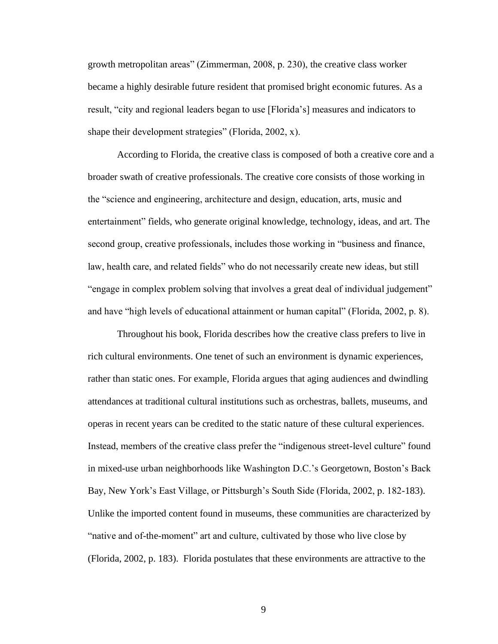growth metropolitan areas" (Zimmerman, 2008, p. 230), the creative class worker became a highly desirable future resident that promised bright economic futures. As a result, "city and regional leaders began to use [Florida's] measures and indicators to shape their development strategies" (Florida, 2002, x).

According to Florida, the creative class is composed of both a creative core and a broader swath of creative professionals. The creative core consists of those working in the "science and engineering, architecture and design, education, arts, music and entertainment" fields, who generate original knowledge, technology, ideas, and art. The second group, creative professionals, includes those working in "business and finance, law, health care, and related fields" who do not necessarily create new ideas, but still "engage in complex problem solving that involves a great deal of individual judgement" and have "high levels of educational attainment or human capital" (Florida, 2002, p. 8).

Throughout his book, Florida describes how the creative class prefers to live in rich cultural environments. One tenet of such an environment is dynamic experiences, rather than static ones. For example, Florida argues that aging audiences and dwindling attendances at traditional cultural institutions such as orchestras, ballets, museums, and operas in recent years can be credited to the static nature of these cultural experiences. Instead, members of the creative class prefer the "indigenous street-level culture" found in mixed-use urban neighborhoods like Washington D.C.'s Georgetown, Boston's Back Bay, New York's East Village, or Pittsburgh's South Side (Florida, 2002, p. 182-183). Unlike the imported content found in museums, these communities are characterized by "native and of-the-moment" art and culture, cultivated by those who live close by (Florida, 2002, p. 183). Florida postulates that these environments are attractive to the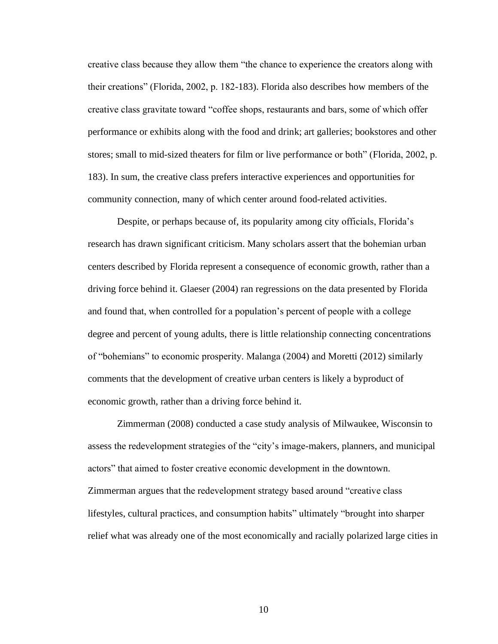creative class because they allow them "the chance to experience the creators along with their creations" (Florida, 2002, p. 182-183). Florida also describes how members of the creative class gravitate toward "coffee shops, restaurants and bars, some of which offer performance or exhibits along with the food and drink; art galleries; bookstores and other stores; small to mid-sized theaters for film or live performance or both" (Florida, 2002, p. 183). In sum, the creative class prefers interactive experiences and opportunities for community connection, many of which center around food-related activities.

Despite, or perhaps because of, its popularity among city officials, Florida's research has drawn significant criticism. Many scholars assert that the bohemian urban centers described by Florida represent a consequence of economic growth, rather than a driving force behind it. Glaeser (2004) ran regressions on the data presented by Florida and found that, when controlled for a population's percent of people with a college degree and percent of young adults, there is little relationship connecting concentrations of "bohemians" to economic prosperity. Malanga (2004) and Moretti (2012) similarly comments that the development of creative urban centers is likely a byproduct of economic growth, rather than a driving force behind it.

Zimmerman (2008) conducted a case study analysis of Milwaukee, Wisconsin to assess the redevelopment strategies of the "city's image-makers, planners, and municipal actors" that aimed to foster creative economic development in the downtown. Zimmerman argues that the redevelopment strategy based around "creative class lifestyles, cultural practices, and consumption habits" ultimately "brought into sharper relief what was already one of the most economically and racially polarized large cities in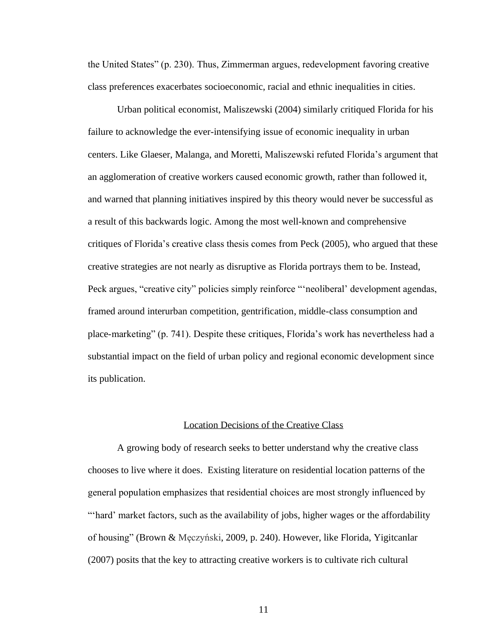the United States" (p. 230). Thus, Zimmerman argues, redevelopment favoring creative class preferences exacerbates socioeconomic, racial and ethnic inequalities in cities.

Urban political economist, Maliszewski (2004) similarly critiqued Florida for his failure to acknowledge the ever-intensifying issue of economic inequality in urban centers. Like Glaeser, Malanga, and Moretti, Maliszewski refuted Florida's argument that an agglomeration of creative workers caused economic growth, rather than followed it, and warned that planning initiatives inspired by this theory would never be successful as a result of this backwards logic. Among the most well-known and comprehensive critiques of Florida's creative class thesis comes from Peck (2005), who argued that these creative strategies are not nearly as disruptive as Florida portrays them to be. Instead, Peck argues, "creative city" policies simply reinforce "'neoliberal' development agendas, framed around interurban competition, gentrification, middle-class consumption and place-marketing" (p. 741). Despite these critiques, Florida's work has nevertheless had a substantial impact on the field of urban policy and regional economic development since its publication.

### Location Decisions of the Creative Class

<span id="page-17-0"></span>A growing body of research seeks to better understand why the creative class chooses to live where it does. Existing literature on residential location patterns of the general population emphasizes that residential choices are most strongly influenced by "'hard' market factors, such as the availability of jobs, higher wages or the affordability of housing" (Brown & Męczyński, 2009, p. 240). However, like Florida, Yigitcanlar (2007) posits that the key to attracting creative workers is to cultivate rich cultural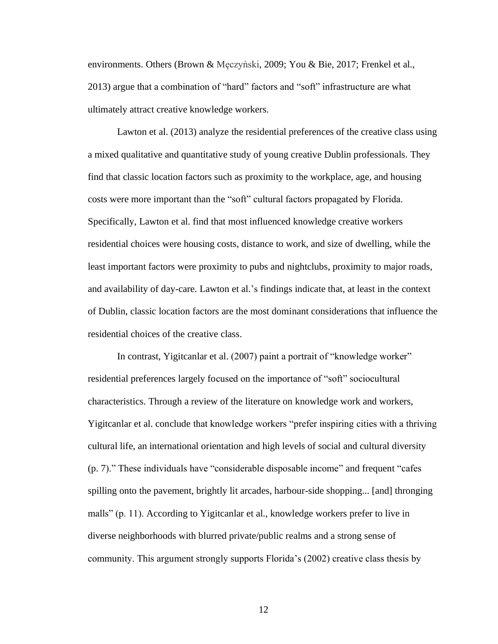environments. Others (Brown & Męczyński, 2009; You & Bie, 2017; Frenkel et al., 2013) argue that a combination of "hard" factors and "soft" infrastructure are what ultimately attract creative knowledge workers.

Lawton et al. (2013) analyze the residential preferences of the creative class using a mixed qualitative and quantitative study of young creative Dublin professionals. They find that classic location factors such as proximity to the workplace, age, and housing costs were more important than the "soft" cultural factors propagated by Florida. Specifically, Lawton et al. find that most influenced knowledge creative workers residential choices were housing costs, distance to work, and size of dwelling, while the least important factors were proximity to pubs and nightclubs, proximity to major roads, and availability of day-care. Lawton et al.'s findings indicate that, at least in the context of Dublin, classic location factors are the most dominant considerations that influence the residential choices of the creative class.

In contrast, Yigitcanlar et al. (2007) paint a portrait of "knowledge worker" residential preferences largely focused on the importance of "soft" sociocultural characteristics. Through a review of the literature on knowledge work and workers, Yigitcanlar et al. conclude that knowledge workers "prefer inspiring cities with a thriving cultural life, an international orientation and high levels of social and cultural diversity (p. 7)." These individuals have "considerable disposable income" and frequent "cafes spilling onto the pavement, brightly lit arcades, harbour-side shopping... [and] thronging malls" (p. 11). According to Yigitcanlar et al., knowledge workers prefer to live in diverse neighborhoods with blurred private/public realms and a strong sense of community. This argument strongly supports Florida's (2002) creative class thesis by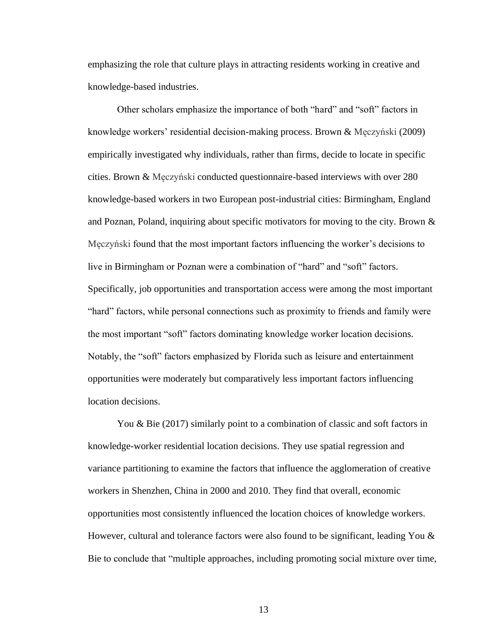emphasizing the role that culture plays in attracting residents working in creative and knowledge-based industries.

Other scholars emphasize the importance of both "hard" and "soft" factors in knowledge workers' residential decision-making process. Brown & Męczyński (2009) empirically investigated why individuals, rather than firms, decide to locate in specific cities. Brown & Męczyński conducted questionnaire-based interviews with over 280 knowledge-based workers in two European post-industrial cities: Birmingham, England and Poznan, Poland, inquiring about specific motivators for moving to the city. Brown  $\&$ Męczyński found that the most important factors influencing the worker's decisions to live in Birmingham or Poznan were a combination of "hard" and "soft" factors. Specifically, job opportunities and transportation access were among the most important "hard" factors, while personal connections such as proximity to friends and family were the most important "soft" factors dominating knowledge worker location decisions. Notably, the "soft" factors emphasized by Florida such as leisure and entertainment opportunities were moderately but comparatively less important factors influencing location decisions.

You & Bie (2017) similarly point to a combination of classic and soft factors in knowledge-worker residential location decisions. They use spatial regression and variance partitioning to examine the factors that influence the agglomeration of creative workers in Shenzhen, China in 2000 and 2010. They find that overall, economic opportunities most consistently influenced the location choices of knowledge workers. However, cultural and tolerance factors were also found to be significant, leading You & Bie to conclude that "multiple approaches, including promoting social mixture over time,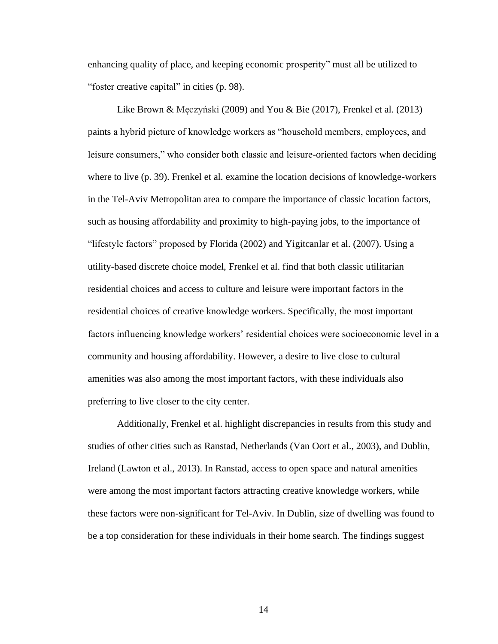enhancing quality of place, and keeping economic prosperity" must all be utilized to "foster creative capital" in cities (p. 98).

Like Brown & Męczyński (2009) and You & Bie (2017), Frenkel et al. (2013) paints a hybrid picture of knowledge workers as "household members, employees, and leisure consumers," who consider both classic and leisure-oriented factors when deciding where to live (p. 39). Frenkel et al. examine the location decisions of knowledge-workers in the Tel-Aviv Metropolitan area to compare the importance of classic location factors, such as housing affordability and proximity to high-paying jobs, to the importance of "lifestyle factors" proposed by Florida (2002) and Yigitcanlar et al. (2007). Using a utility-based discrete choice model, Frenkel et al. find that both classic utilitarian residential choices and access to culture and leisure were important factors in the residential choices of creative knowledge workers. Specifically, the most important factors influencing knowledge workers' residential choices were socioeconomic level in a community and housing affordability. However, a desire to live close to cultural amenities was also among the most important factors, with these individuals also preferring to live closer to the city center.

Additionally, Frenkel et al. highlight discrepancies in results from this study and studies of other cities such as Ranstad, Netherlands (Van Oort et al., 2003), and Dublin, Ireland (Lawton et al., 2013). In Ranstad, access to open space and natural amenities were among the most important factors attracting creative knowledge workers, while these factors were non-significant for Tel-Aviv. In Dublin, size of dwelling was found to be a top consideration for these individuals in their home search. The findings suggest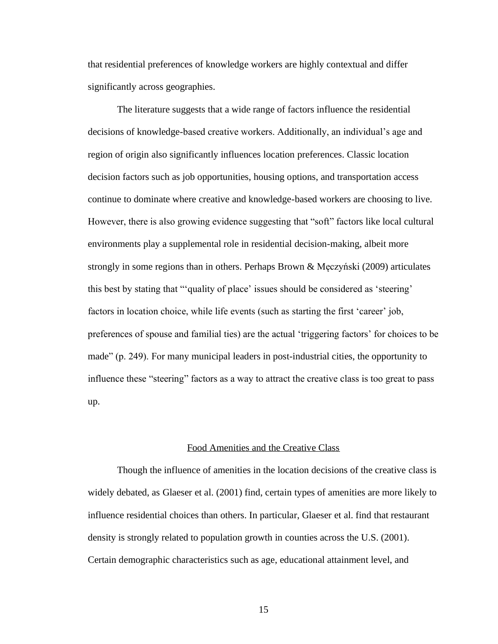that residential preferences of knowledge workers are highly contextual and differ significantly across geographies.

The literature suggests that a wide range of factors influence the residential decisions of knowledge-based creative workers. Additionally, an individual's age and region of origin also significantly influences location preferences. Classic location decision factors such as job opportunities, housing options, and transportation access continue to dominate where creative and knowledge-based workers are choosing to live. However, there is also growing evidence suggesting that "soft" factors like local cultural environments play a supplemental role in residential decision-making, albeit more strongly in some regions than in others. Perhaps Brown & Męczyński (2009) articulates this best by stating that "'quality of place' issues should be considered as 'steering' factors in location choice, while life events (such as starting the first 'career' job, preferences of spouse and familial ties) are the actual 'triggering factors' for choices to be made" (p. 249). For many municipal leaders in post-industrial cities, the opportunity to influence these "steering" factors as a way to attract the creative class is too great to pass up.

### Food Amenities and the Creative Class

<span id="page-21-0"></span>Though the influence of amenities in the location decisions of the creative class is widely debated, as Glaeser et al. (2001) find, certain types of amenities are more likely to influence residential choices than others. In particular, Glaeser et al. find that restaurant density is strongly related to population growth in counties across the U.S. (2001). Certain demographic characteristics such as age, educational attainment level, and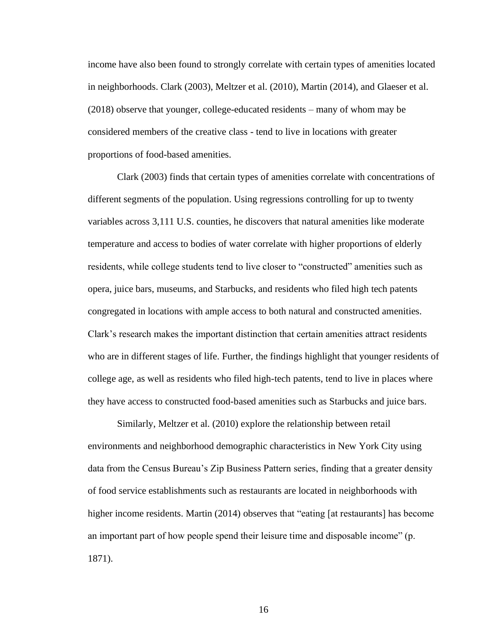income have also been found to strongly correlate with certain types of amenities located in neighborhoods. Clark (2003), Meltzer et al. (2010), Martin (2014), and Glaeser et al. (2018) observe that younger, college-educated residents – many of whom may be considered members of the creative class - tend to live in locations with greater proportions of food-based amenities.

Clark (2003) finds that certain types of amenities correlate with concentrations of different segments of the population. Using regressions controlling for up to twenty variables across 3,111 U.S. counties, he discovers that natural amenities like moderate temperature and access to bodies of water correlate with higher proportions of elderly residents, while college students tend to live closer to "constructed" amenities such as opera, juice bars, museums, and Starbucks, and residents who filed high tech patents congregated in locations with ample access to both natural and constructed amenities. Clark's research makes the important distinction that certain amenities attract residents who are in different stages of life. Further, the findings highlight that younger residents of college age, as well as residents who filed high-tech patents, tend to live in places where they have access to constructed food-based amenities such as Starbucks and juice bars.

Similarly, Meltzer et al. (2010) explore the relationship between retail environments and neighborhood demographic characteristics in New York City using data from the Census Bureau's Zip Business Pattern series, finding that a greater density of food service establishments such as restaurants are located in neighborhoods with higher income residents. Martin (2014) observes that "eating [at restaurants] has become an important part of how people spend their leisure time and disposable income" (p. 1871).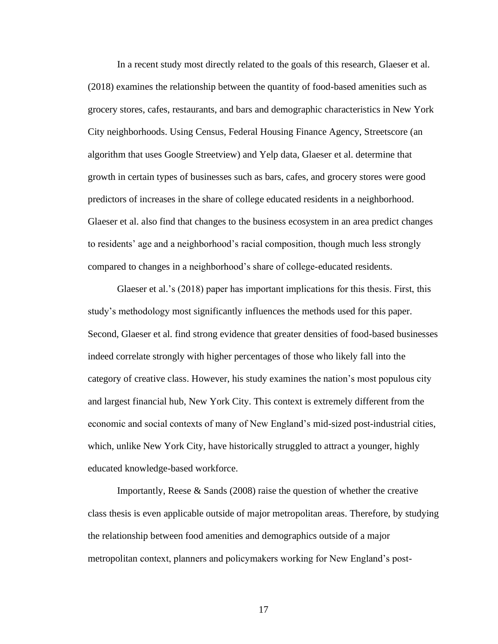In a recent study most directly related to the goals of this research, Glaeser et al. (2018) examines the relationship between the quantity of food-based amenities such as grocery stores, cafes, restaurants, and bars and demographic characteristics in New York City neighborhoods. Using Census, Federal Housing Finance Agency, Streetscore (an algorithm that uses Google Streetview) and Yelp data, Glaeser et al. determine that growth in certain types of businesses such as bars, cafes, and grocery stores were good predictors of increases in the share of college educated residents in a neighborhood. Glaeser et al. also find that changes to the business ecosystem in an area predict changes to residents' age and a neighborhood's racial composition, though much less strongly compared to changes in a neighborhood's share of college-educated residents.

Glaeser et al.'s (2018) paper has important implications for this thesis. First, this study's methodology most significantly influences the methods used for this paper. Second, Glaeser et al. find strong evidence that greater densities of food-based businesses indeed correlate strongly with higher percentages of those who likely fall into the category of creative class. However, his study examines the nation's most populous city and largest financial hub, New York City. This context is extremely different from the economic and social contexts of many of New England's mid-sized post-industrial cities, which, unlike New York City, have historically struggled to attract a younger, highly educated knowledge-based workforce.

Importantly, Reese & Sands (2008) raise the question of whether the creative class thesis is even applicable outside of major metropolitan areas. Therefore, by studying the relationship between food amenities and demographics outside of a major metropolitan context, planners and policymakers working for New England's post-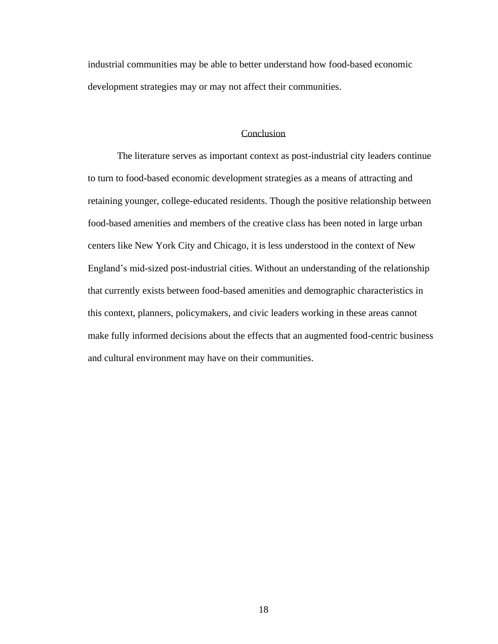industrial communities may be able to better understand how food-based economic development strategies may or may not affect their communities.

### Conclusion

<span id="page-24-0"></span>The literature serves as important context as post-industrial city leaders continue to turn to food-based economic development strategies as a means of attracting and retaining younger, college-educated residents. Though the positive relationship between food-based amenities and members of the creative class has been noted in large urban centers like New York City and Chicago, it is less understood in the context of New England's mid-sized post-industrial cities. Without an understanding of the relationship that currently exists between food-based amenities and demographic characteristics in this context, planners, policymakers, and civic leaders working in these areas cannot make fully informed decisions about the effects that an augmented food-centric business and cultural environment may have on their communities.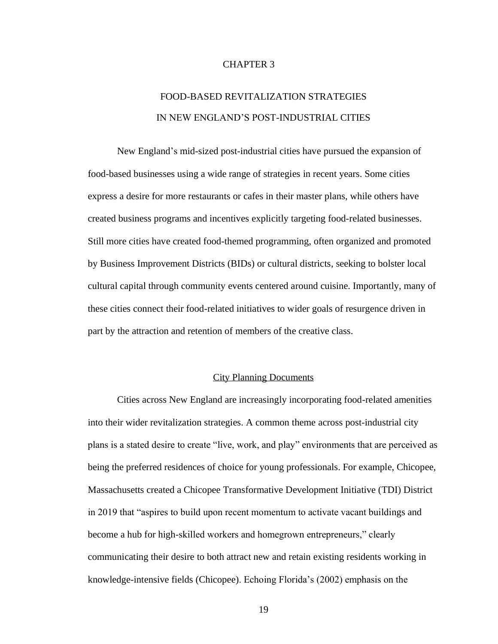### CHAPTER 3

# FOOD-BASED REVITALIZATION STRATEGIES IN NEW ENGLAND'S POST-INDUSTRIAL CITIES

<span id="page-25-0"></span>New England's mid-sized post-industrial cities have pursued the expansion of food-based businesses using a wide range of strategies in recent years. Some cities express a desire for more restaurants or cafes in their master plans, while others have created business programs and incentives explicitly targeting food-related businesses. Still more cities have created food-themed programming, often organized and promoted by Business Improvement Districts (BIDs) or cultural districts, seeking to bolster local cultural capital through community events centered around cuisine. Importantly, many of these cities connect their food-related initiatives to wider goals of resurgence driven in part by the attraction and retention of members of the creative class.

### City Planning Documents

<span id="page-25-1"></span>Cities across New England are increasingly incorporating food-related amenities into their wider revitalization strategies. A common theme across post-industrial city plans is a stated desire to create "live, work, and play" environments that are perceived as being the preferred residences of choice for young professionals. For example, Chicopee, Massachusetts created a Chicopee Transformative Development Initiative (TDI) District in 2019 that "aspires to build upon recent momentum to activate vacant buildings and become a hub for high-skilled workers and homegrown entrepreneurs," clearly communicating their desire to both attract new and retain existing residents working in knowledge-intensive fields (Chicopee). Echoing Florida's (2002) emphasis on the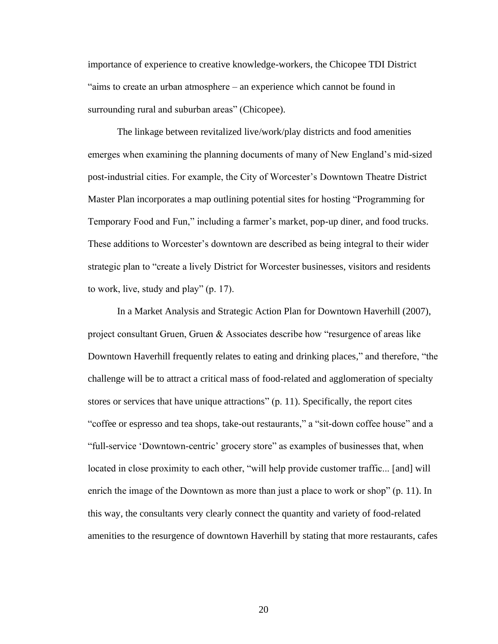importance of experience to creative knowledge-workers, the Chicopee TDI District "aims to create an urban atmosphere – an experience which cannot be found in surrounding rural and suburban areas" (Chicopee).

The linkage between revitalized live/work/play districts and food amenities emerges when examining the planning documents of many of New England's mid-sized post-industrial cities. For example, the City of Worcester's Downtown Theatre District Master Plan incorporates a map outlining potential sites for hosting "Programming for Temporary Food and Fun," including a farmer's market, pop-up diner, and food trucks. These additions to Worcester's downtown are described as being integral to their wider strategic plan to "create a lively District for Worcester businesses, visitors and residents to work, live, study and play" (p. 17).

In a Market Analysis and Strategic Action Plan for Downtown Haverhill (2007), project consultant Gruen, Gruen & Associates describe how "resurgence of areas like Downtown Haverhill frequently relates to eating and drinking places," and therefore, "the challenge will be to attract a critical mass of food-related and agglomeration of specialty stores or services that have unique attractions" (p. 11). Specifically, the report cites "coffee or espresso and tea shops, take-out restaurants," a "sit-down coffee house" and a "full-service 'Downtown-centric' grocery store" as examples of businesses that, when located in close proximity to each other, "will help provide customer traffic... [and] will enrich the image of the Downtown as more than just a place to work or shop" (p. 11). In this way, the consultants very clearly connect the quantity and variety of food-related amenities to the resurgence of downtown Haverhill by stating that more restaurants, cafes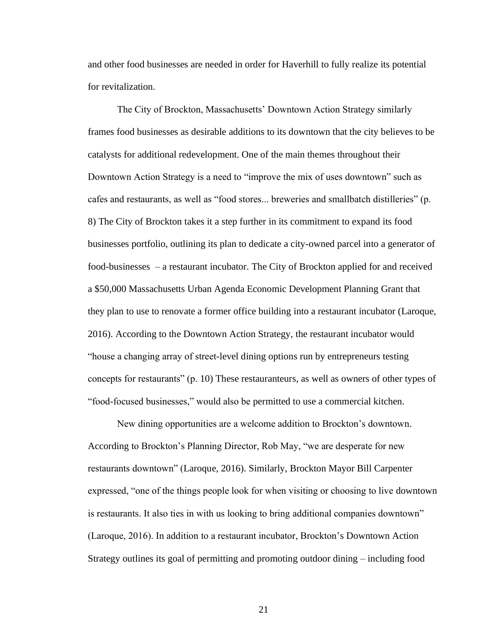and other food businesses are needed in order for Haverhill to fully realize its potential for revitalization.

The City of Brockton, Massachusetts' Downtown Action Strategy similarly frames food businesses as desirable additions to its downtown that the city believes to be catalysts for additional redevelopment. One of the main themes throughout their Downtown Action Strategy is a need to "improve the mix of uses downtown" such as cafes and restaurants, as well as "food stores... breweries and smallbatch distilleries" (p. 8) The City of Brockton takes it a step further in its commitment to expand its food businesses portfolio, outlining its plan to dedicate a city-owned parcel into a generator of food-businesses – a restaurant incubator. The City of Brockton applied for and received a \$50,000 Massachusetts Urban Agenda Economic Development Planning Grant that they plan to use to renovate a former office building into a restaurant incubator (Laroque, 2016). According to the Downtown Action Strategy, the restaurant incubator would "house a changing array of street-level dining options run by entrepreneurs testing concepts for restaurants" (p. 10) These restauranteurs, as well as owners of other types of "food-focused businesses," would also be permitted to use a commercial kitchen.

New dining opportunities are a welcome addition to Brockton's downtown. According to Brockton's Planning Director, Rob May, "we are desperate for new restaurants downtown" (Laroque, 2016). Similarly, Brockton Mayor Bill Carpenter expressed, "one of the things people look for when visiting or choosing to live downtown is restaurants. It also ties in with us looking to bring additional companies downtown" (Laroque, 2016). In addition to a restaurant incubator, Brockton's Downtown Action Strategy outlines its goal of permitting and promoting outdoor dining – including food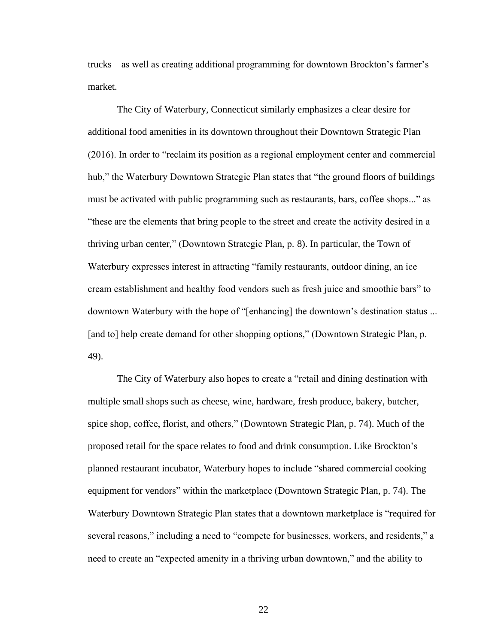trucks – as well as creating additional programming for downtown Brockton's farmer's market.

The City of Waterbury, Connecticut similarly emphasizes a clear desire for additional food amenities in its downtown throughout their Downtown Strategic Plan (2016). In order to "reclaim its position as a regional employment center and commercial hub," the Waterbury Downtown Strategic Plan states that "the ground floors of buildings must be activated with public programming such as restaurants, bars, coffee shops..." as "these are the elements that bring people to the street and create the activity desired in a thriving urban center," (Downtown Strategic Plan, p. 8). In particular, the Town of Waterbury expresses interest in attracting "family restaurants, outdoor dining, an ice cream establishment and healthy food vendors such as fresh juice and smoothie bars" to downtown Waterbury with the hope of "[enhancing] the downtown's destination status ... [and to] help create demand for other shopping options," (Downtown Strategic Plan, p. 49).

The City of Waterbury also hopes to create a "retail and dining destination with multiple small shops such as cheese, wine, hardware, fresh produce, bakery, butcher, spice shop, coffee, florist, and others," (Downtown Strategic Plan, p. 74). Much of the proposed retail for the space relates to food and drink consumption. Like Brockton's planned restaurant incubator, Waterbury hopes to include "shared commercial cooking equipment for vendors" within the marketplace (Downtown Strategic Plan, p. 74). The Waterbury Downtown Strategic Plan states that a downtown marketplace is "required for several reasons," including a need to "compete for businesses, workers, and residents," a need to create an "expected amenity in a thriving urban downtown," and the ability to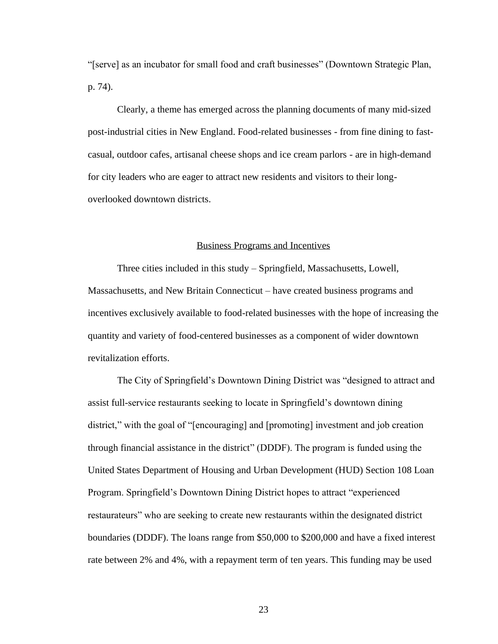"[serve] as an incubator for small food and craft businesses" (Downtown Strategic Plan, p. 74).

Clearly, a theme has emerged across the planning documents of many mid-sized post-industrial cities in New England. Food-related businesses - from fine dining to fastcasual, outdoor cafes, artisanal cheese shops and ice cream parlors - are in high-demand for city leaders who are eager to attract new residents and visitors to their longoverlooked downtown districts.

### Business Programs and Incentives

<span id="page-29-0"></span>Three cities included in this study – Springfield, Massachusetts, Lowell, Massachusetts, and New Britain Connecticut – have created business programs and incentives exclusively available to food-related businesses with the hope of increasing the quantity and variety of food-centered businesses as a component of wider downtown revitalization efforts.

The City of Springfield's Downtown Dining District was "designed to attract and assist full-service restaurants seeking to locate in Springfield's downtown dining district," with the goal of "[encouraging] and [promoting] investment and job creation through financial assistance in the district" (DDDF). The program is funded using the United States Department of Housing and Urban Development (HUD) Section 108 Loan Program. Springfield's Downtown Dining District hopes to attract "experienced restaurateurs" who are seeking to create new restaurants within the designated district boundaries (DDDF). The loans range from \$50,000 to \$200,000 and have a fixed interest rate between 2% and 4%, with a repayment term of ten years. This funding may be used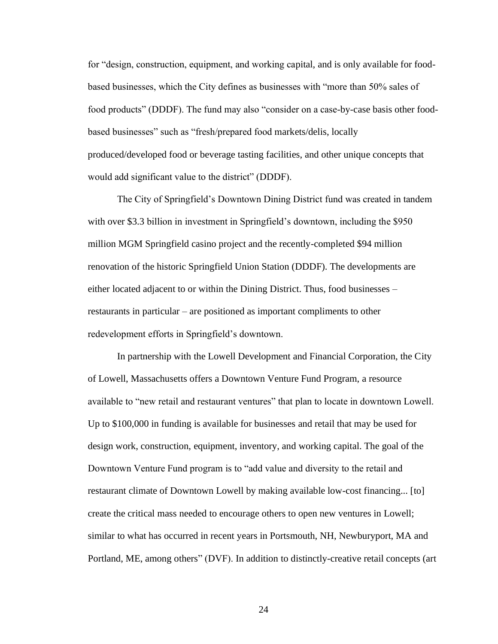for "design, construction, equipment, and working capital, and is only available for foodbased businesses, which the City defines as businesses with "more than 50% sales of food products" (DDDF). The fund may also "consider on a case-by-case basis other foodbased businesses" such as "fresh/prepared food markets/delis, locally produced/developed food or beverage tasting facilities, and other unique concepts that would add significant value to the district" (DDDF).

The City of Springfield's Downtown Dining District fund was created in tandem with over \$3.3 billion in investment in Springfield's downtown, including the \$950 million MGM Springfield casino project and the recently-completed \$94 million renovation of the historic Springfield Union Station (DDDF). The developments are either located adjacent to or within the Dining District. Thus, food businesses – restaurants in particular – are positioned as important compliments to other redevelopment efforts in Springfield's downtown.

In partnership with the Lowell Development and Financial Corporation, the City of Lowell, Massachusetts offers a Downtown Venture Fund Program, a resource available to "new retail and restaurant ventures" that plan to locate in downtown Lowell. Up to \$100,000 in funding is available for businesses and retail that may be used for design work, construction, equipment, inventory, and working capital. The goal of the Downtown Venture Fund program is to "add value and diversity to the retail and restaurant climate of Downtown Lowell by making available low-cost financing... [to] create the critical mass needed to encourage others to open new ventures in Lowell; similar to what has occurred in recent years in Portsmouth, NH, Newburyport, MA and Portland, ME, among others" (DVF). In addition to distinctly-creative retail concepts (art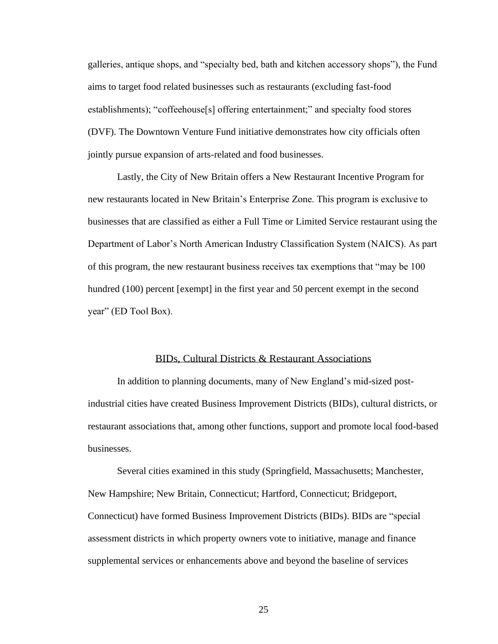galleries, antique shops, and "specialty bed, bath and kitchen accessory shops"), the Fund aims to target food related businesses such as restaurants (excluding fast-food establishments); "coffeehouse[s] offering entertainment;" and specialty food stores (DVF). The Downtown Venture Fund initiative demonstrates how city officials often jointly pursue expansion of arts-related and food businesses.

Lastly, the City of New Britain offers a New Restaurant Incentive Program for new restaurants located in New Britain's Enterprise Zone. This program is exclusive to businesses that are classified as either a Full Time or Limited Service restaurant using the Department of Labor's North American Industry Classification System (NAICS). As part of this program, the new restaurant business receives tax exemptions that "may be 100 hundred (100) percent [exempt] in the first year and 50 percent exempt in the second year" (ED Tool Box).

### BIDs, Cultural Districts & Restaurant Associations

<span id="page-31-0"></span>In addition to planning documents, many of New England's mid-sized postindustrial cities have created Business Improvement Districts (BIDs), cultural districts, or restaurant associations that, among other functions, support and promote local food-based businesses.

Several cities examined in this study (Springfield, Massachusetts; Manchester, New Hampshire; New Britain, Connecticut; Hartford, Connecticut; Bridgeport, Connecticut) have formed Business Improvement Districts (BIDs). BIDs are "special assessment districts in which property owners vote to initiative, manage and finance supplemental services or enhancements above and beyond the baseline of services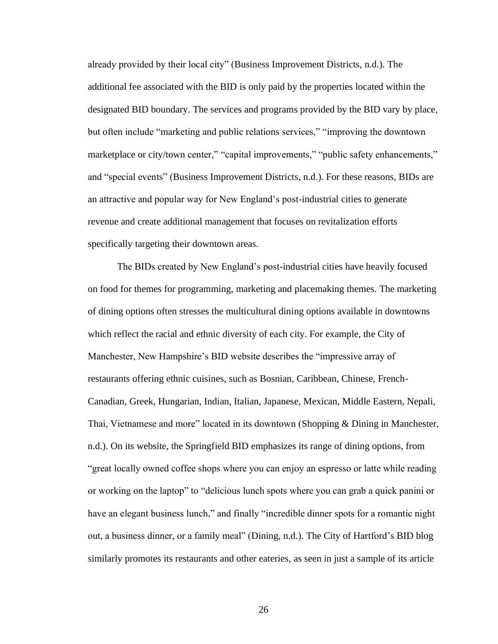already provided by their local city" (Business Improvement Districts, n.d.). The additional fee associated with the BID is only paid by the properties located within the designated BID boundary. The services and programs provided by the BID vary by place, but often include "marketing and public relations services," "improving the downtown marketplace or city/town center," "capital improvements," "public safety enhancements," and "special events" (Business Improvement Districts, n.d.). For these reasons, BIDs are an attractive and popular way for New England's post-industrial cities to generate revenue and create additional management that focuses on revitalization efforts specifically targeting their downtown areas.

The BIDs created by New England's post-industrial cities have heavily focused on food for themes for programming, marketing and placemaking themes. The marketing of dining options often stresses the multicultural dining options available in downtowns which reflect the racial and ethnic diversity of each city. For example, the City of Manchester, New Hampshire's BID website describes the "impressive array of restaurants offering ethnic cuisines, such as Bosnian, Caribbean, Chinese, French-Canadian, Greek, Hungarian, Indian, Italian, Japanese, Mexican, Middle Eastern, Nepali, Thai, Vietnamese and more" located in its downtown (Shopping & Dining in Manchester, n.d.). On its website, the Springfield BID emphasizes its range of dining options, from "great locally owned coffee shops where you can enjoy an espresso or latte while reading or working on the laptop" to "delicious lunch spots where you can grab a quick panini or have an elegant business lunch," and finally "incredible dinner spots for a romantic night out, a business dinner, or a family meal" (Dining, n.d.). The City of Hartford's BID blog similarly promotes its restaurants and other eateries, as seen in just a sample of its article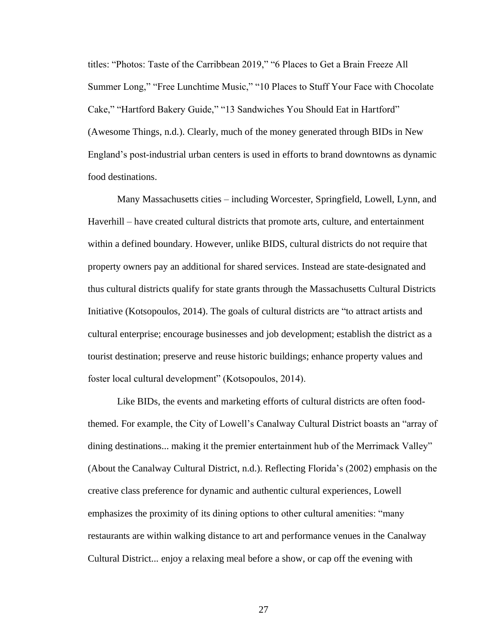titles: "Photos: Taste of the Carribbean 2019," "6 Places to Get a Brain Freeze All Summer Long," "Free Lunchtime Music," "10 Places to Stuff Your Face with Chocolate Cake," "Hartford Bakery Guide," "13 Sandwiches You Should Eat in Hartford" (Awesome Things, n.d.). Clearly, much of the money generated through BIDs in New England's post-industrial urban centers is used in efforts to brand downtowns as dynamic food destinations.

Many Massachusetts cities – including Worcester, Springfield, Lowell, Lynn, and Haverhill – have created cultural districts that promote arts, culture, and entertainment within a defined boundary. However, unlike BIDS, cultural districts do not require that property owners pay an additional for shared services. Instead are state-designated and thus cultural districts qualify for state grants through the Massachusetts Cultural Districts Initiative (Kotsopoulos, 2014). The goals of cultural districts are "to attract artists and cultural enterprise; encourage businesses and job development; establish the district as a tourist destination; preserve and reuse historic buildings; enhance property values and foster local cultural development" (Kotsopoulos, 2014).

Like BIDs, the events and marketing efforts of cultural districts are often foodthemed. For example, the City of Lowell's Canalway Cultural District boasts an "array of dining destinations... making it the premier entertainment hub of the Merrimack Valley" (About the Canalway Cultural District, n.d.). Reflecting Florida's (2002) emphasis on the creative class preference for dynamic and authentic cultural experiences, Lowell emphasizes the proximity of its dining options to other cultural amenities: "many restaurants are within walking distance to art and performance venues in the Canalway Cultural District... enjoy a relaxing meal before a show, or cap off the evening with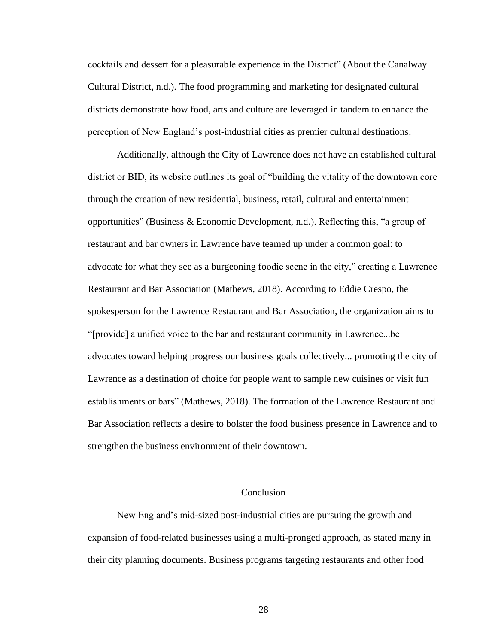cocktails and dessert for a pleasurable experience in the District" (About the Canalway Cultural District, n.d.). The food programming and marketing for designated cultural districts demonstrate how food, arts and culture are leveraged in tandem to enhance the perception of New England's post-industrial cities as premier cultural destinations.

Additionally, although the City of Lawrence does not have an established cultural district or BID, its website outlines its goal of "building the vitality of the downtown core through the creation of new residential, business, retail, cultural and entertainment opportunities" (Business & Economic Development, n.d.). Reflecting this, "a group of restaurant and bar owners in Lawrence have teamed up under a common goal: to advocate for what they see as a burgeoning foodie scene in the city," creating a Lawrence Restaurant and Bar Association (Mathews, 2018). According to Eddie Crespo, the spokesperson for the Lawrence Restaurant and Bar Association, the organization aims to "[provide] a unified voice to the bar and restaurant community in Lawrence...be advocates toward helping progress our business goals collectively... promoting the city of Lawrence as a destination of choice for people want to sample new cuisines or visit fun establishments or bars" (Mathews, 2018). The formation of the Lawrence Restaurant and Bar Association reflects a desire to bolster the food business presence in Lawrence and to strengthen the business environment of their downtown.

### **Conclusion**

<span id="page-34-0"></span>New England's mid-sized post-industrial cities are pursuing the growth and expansion of food-related businesses using a multi-pronged approach, as stated many in their city planning documents. Business programs targeting restaurants and other food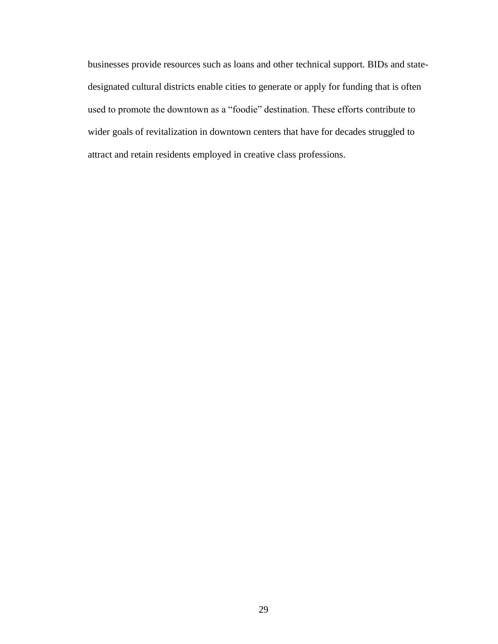businesses provide resources such as loans and other technical support. BIDs and statedesignated cultural districts enable cities to generate or apply for funding that is often used to promote the downtown as a "foodie" destination. These efforts contribute to wider goals of revitalization in downtown centers that have for decades struggled to attract and retain residents employed in creative class professions.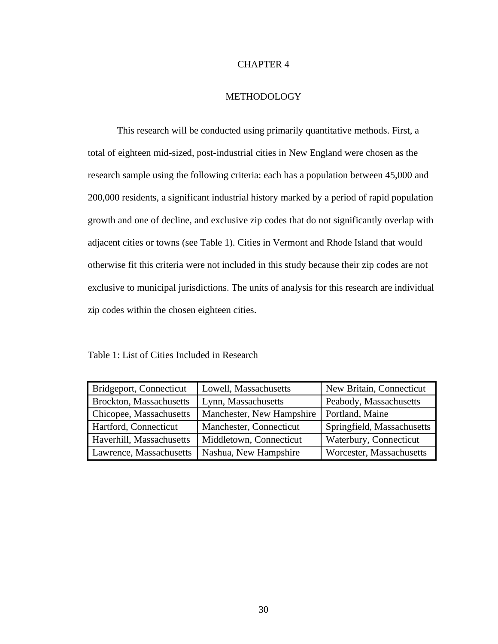### CHAPTER 4

### METHODOLOGY

<span id="page-36-0"></span>This research will be conducted using primarily quantitative methods. First, a total of eighteen mid-sized, post-industrial cities in New England were chosen as the research sample using the following criteria: each has a population between 45,000 and 200,000 residents, a significant industrial history marked by a period of rapid population growth and one of decline, and exclusive zip codes that do not significantly overlap with adjacent cities or towns (see Table 1). Cities in Vermont and Rhode Island that would otherwise fit this criteria were not included in this study because their zip codes are not exclusive to municipal jurisdictions. The units of analysis for this research are individual zip codes within the chosen eighteen cities.

<span id="page-36-1"></span>Table 1: List of Cities Included in Research

| Bridgeport, Connecticut<br>Lowell, Massachusetts |                           | New Britain, Connecticut   |  |
|--------------------------------------------------|---------------------------|----------------------------|--|
| Brockton, Massachusetts                          | Lynn, Massachusetts       | Peabody, Massachusetts     |  |
| Chicopee, Massachusetts                          | Manchester, New Hampshire | Portland, Maine            |  |
| Hartford, Connecticut                            | Manchester, Connecticut   | Springfield, Massachusetts |  |
| Haverhill, Massachusetts                         | Middletown, Connecticut   | Waterbury, Connecticut     |  |
| Lawrence, Massachusetts                          | Nashua, New Hampshire     | Worcester, Massachusetts   |  |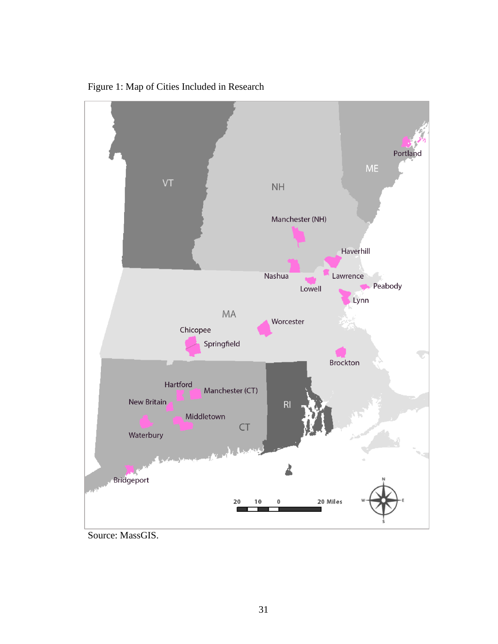

<span id="page-37-0"></span>Figure 1: Map of Cities Included in Research

Source: MassGIS.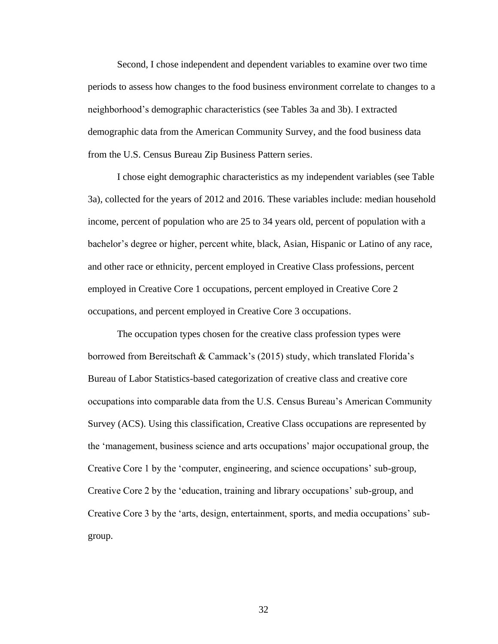Second, I chose independent and dependent variables to examine over two time periods to assess how changes to the food business environment correlate to changes to a neighborhood's demographic characteristics (see Tables 3a and 3b). I extracted demographic data from the American Community Survey, and the food business data from the U.S. Census Bureau Zip Business Pattern series.

I chose eight demographic characteristics as my independent variables (see Table 3a), collected for the years of 2012 and 2016. These variables include: median household income, percent of population who are 25 to 34 years old, percent of population with a bachelor's degree or higher, percent white, black, Asian, Hispanic or Latino of any race, and other race or ethnicity, percent employed in Creative Class professions, percent employed in Creative Core 1 occupations, percent employed in Creative Core 2 occupations, and percent employed in Creative Core 3 occupations.

The occupation types chosen for the creative class profession types were borrowed from Bereitschaft & Cammack's (2015) study, which translated Florida's Bureau of Labor Statistics-based categorization of creative class and creative core occupations into comparable data from the U.S. Census Bureau's American Community Survey (ACS). Using this classification, Creative Class occupations are represented by the 'management, business science and arts occupations' major occupational group, the Creative Core 1 by the 'computer, engineering, and science occupations' sub-group, Creative Core 2 by the 'education, training and library occupations' sub-group, and Creative Core 3 by the 'arts, design, entertainment, sports, and media occupations' subgroup.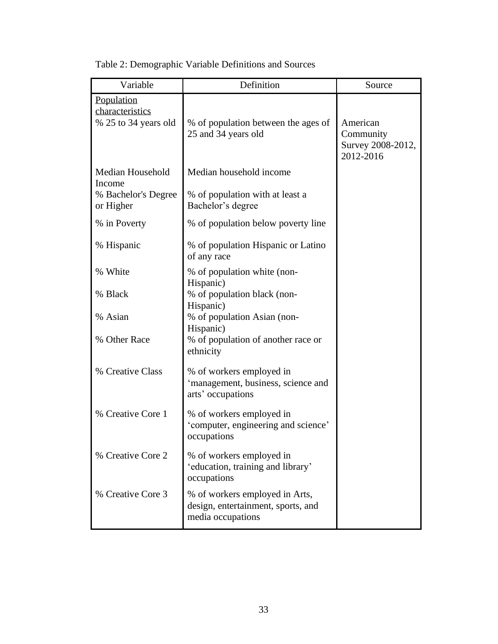| Variable                                                       | Definition                                                                                | Source                                                  |
|----------------------------------------------------------------|-------------------------------------------------------------------------------------------|---------------------------------------------------------|
| Population<br>characteristics<br>% 25 to 34 years old          | % of population between the ages of<br>25 and 34 years old                                | American<br>Community<br>Survey 2008-2012,<br>2012-2016 |
| Median Household<br>Income<br>% Bachelor's Degree<br>or Higher | Median household income<br>% of population with at least a<br>Bachelor's degree           |                                                         |
| % in Poverty                                                   | % of population below poverty line                                                        |                                                         |
| % Hispanic                                                     | % of population Hispanic or Latino<br>of any race                                         |                                                         |
| % White                                                        | % of population white (non-<br>Hispanic)                                                  |                                                         |
| % Black                                                        | % of population black (non-<br>Hispanic)                                                  |                                                         |
| % Asian                                                        | % of population Asian (non-<br>Hispanic)                                                  |                                                         |
| % Other Race                                                   | % of population of another race or<br>ethnicity                                           |                                                         |
| % Creative Class                                               | % of workers employed in<br>'management, business, science and<br>arts' occupations       |                                                         |
| % Creative Core 1                                              | % of workers employed in<br>'computer, engineering and science'<br>occupations            |                                                         |
| % Creative Core 2                                              | % of workers employed in<br>'education, training and library'<br>occupations              |                                                         |
| % Creative Core 3                                              | % of workers employed in Arts,<br>design, entertainment, sports, and<br>media occupations |                                                         |

<span id="page-39-0"></span>Table 2: Demographic Variable Definitions and Sources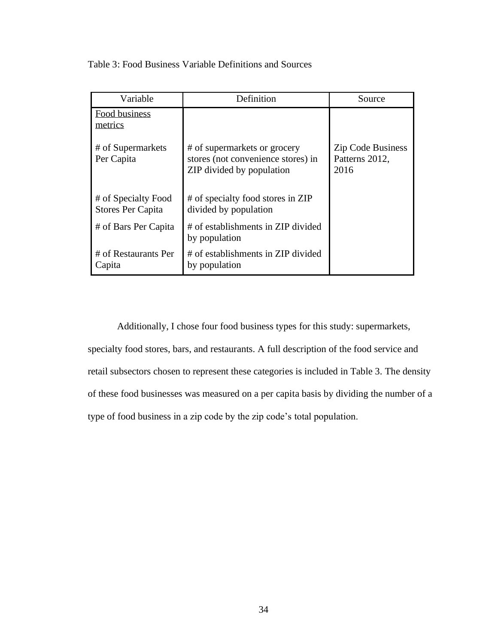<span id="page-40-0"></span>Table 3: Food Business Variable Definitions and Sources

| Variable                                 | Definition                                                                                      | Source                                             |
|------------------------------------------|-------------------------------------------------------------------------------------------------|----------------------------------------------------|
| Food business<br>metrics                 |                                                                                                 |                                                    |
| # of Supermarkets<br>Per Capita          | # of supermarkets or grocery<br>stores (not convenience stores) in<br>ZIP divided by population | <b>Zip Code Business</b><br>Patterns 2012,<br>2016 |
| # of Specialty Food<br>Stores Per Capita | # of specialty food stores in ZIP<br>divided by population                                      |                                                    |
| # of Bars Per Capita                     | # of establishments in ZIP divided<br>by population                                             |                                                    |
| # of Restaurants Per<br>Capita           | # of establishments in ZIP divided<br>by population                                             |                                                    |

Additionally, I chose four food business types for this study: supermarkets, specialty food stores, bars, and restaurants. A full description of the food service and retail subsectors chosen to represent these categories is included in Table 3. The density of these food businesses was measured on a per capita basis by dividing the number of a type of food business in a zip code by the zip code's total population.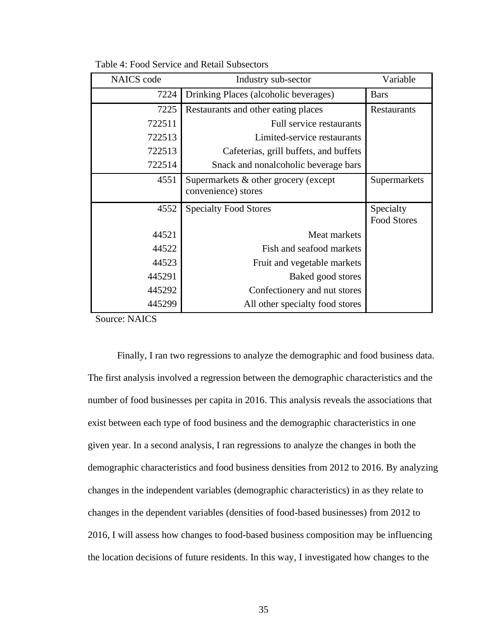| <b>NAICS</b> code | Industry sub-sector                                         | Variable                        |
|-------------------|-------------------------------------------------------------|---------------------------------|
| 7224              | Drinking Places (alcoholic beverages)                       | <b>Bars</b>                     |
| 7225              | Restaurants and other eating places                         | Restaurants                     |
| 722511            | Full service restaurants                                    |                                 |
| 722513            | Limited-service restaurants                                 |                                 |
| 722513            | Cafeterias, grill buffets, and buffets                      |                                 |
| 722514            | Snack and nonalcoholic beverage bars                        |                                 |
| 4551              | Supermarkets & other grocery (except<br>convenience) stores | Supermarkets                    |
| 4552              | <b>Specialty Food Stores</b>                                | Specialty<br><b>Food Stores</b> |
| 44521             | Meat markets                                                |                                 |
| 44522             | Fish and seafood markets                                    |                                 |
| 44523             | Fruit and vegetable markets                                 |                                 |
| 445291            | Baked good stores                                           |                                 |
| 445292            | Confectionery and nut stores                                |                                 |
| 445299            | All other specialty food stores                             |                                 |

Table 4: Food Service and Retail Subsectors

Source: NAICS

Finally, I ran two regressions to analyze the demographic and food business data. The first analysis involved a regression between the demographic characteristics and the number of food businesses per capita in 2016. This analysis reveals the associations that exist between each type of food business and the demographic characteristics in one given year. In a second analysis, I ran regressions to analyze the changes in both the demographic characteristics and food business densities from 2012 to 2016. By analyzing changes in the independent variables (demographic characteristics) in as they relate to changes in the dependent variables (densities of food-based businesses) from 2012 to 2016, I will assess how changes to food-based business composition may be influencing the location decisions of future residents. In this way, I investigated how changes to the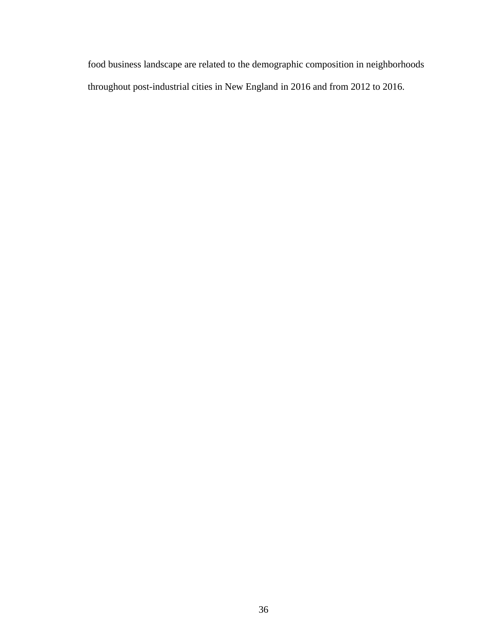food business landscape are related to the demographic composition in neighborhoods throughout post-industrial cities in New England in 2016 and from 2012 to 2016.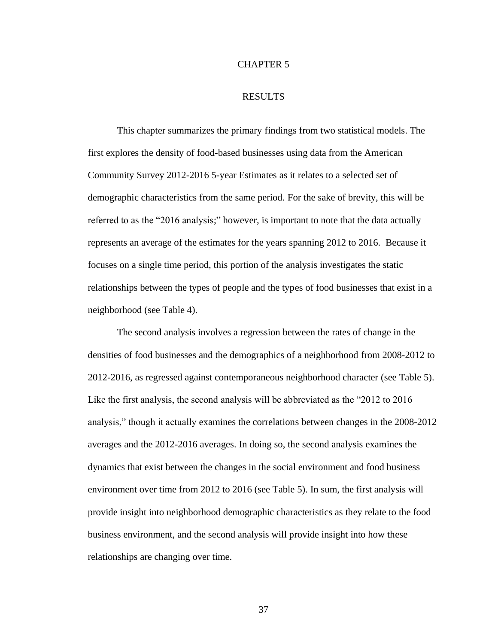### CHAPTER 5

#### RESULTS

<span id="page-43-0"></span>This chapter summarizes the primary findings from two statistical models. The first explores the density of food-based businesses using data from the American Community Survey 2012-2016 5-year Estimates as it relates to a selected set of demographic characteristics from the same period. For the sake of brevity, this will be referred to as the "2016 analysis;" however, is important to note that the data actually represents an average of the estimates for the years spanning 2012 to 2016. Because it focuses on a single time period, this portion of the analysis investigates the static relationships between the types of people and the types of food businesses that exist in a neighborhood (see Table 4).

The second analysis involves a regression between the rates of change in the densities of food businesses and the demographics of a neighborhood from 2008-2012 to 2012-2016, as regressed against contemporaneous neighborhood character (see Table 5). Like the first analysis, the second analysis will be abbreviated as the "2012 to 2016 analysis," though it actually examines the correlations between changes in the 2008-2012 averages and the 2012-2016 averages. In doing so, the second analysis examines the dynamics that exist between the changes in the social environment and food business environment over time from 2012 to 2016 (see Table 5). In sum, the first analysis will provide insight into neighborhood demographic characteristics as they relate to the food business environment, and the second analysis will provide insight into how these relationships are changing over time.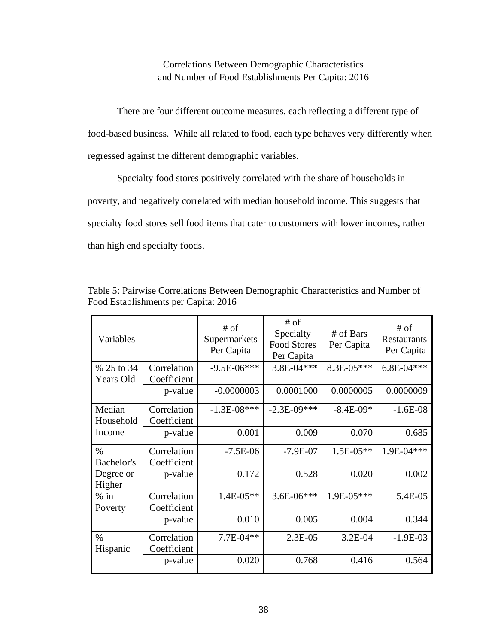### Correlations Between Demographic Characteristics and Number of Food Establishments Per Capita: 2016

<span id="page-44-0"></span>There are four different outcome measures, each reflecting a different type of food-based business. While all related to food, each type behaves very differently when regressed against the different demographic variables.

Specialty food stores positively correlated with the share of households in poverty, and negatively correlated with median household income. This suggests that specialty food stores sell food items that cater to customers with lower incomes, rather than high end specialty foods.

| Variables  |             | $#$ of<br>Supermarkets<br>Per Capita | $#$ of<br>Specialty<br><b>Food Stores</b><br>Per Capita | # of Bars<br>Per Capita | # of<br>Restaurants<br>Per Capita |
|------------|-------------|--------------------------------------|---------------------------------------------------------|-------------------------|-----------------------------------|
| % 25 to 34 | Correlation | $-9.5E - 06***$                      | 3.8E-04***                                              | 8.3E-05***              | $6.8E-04***$                      |
| Years Old  | Coefficient |                                      |                                                         |                         |                                   |
|            | p-value     | $-0.0000003$                         | 0.0001000                                               | 0.0000005               | 0.0000009                         |
| Median     | Correlation | $-1.3E-08***$                        | $-2.3E-09***$                                           | $-8.4E-09*$             | $-1.6E-08$                        |
| Household  | Coefficient |                                      |                                                         |                         |                                   |
| Income     | p-value     | 0.001                                | 0.009                                                   | 0.070                   | 0.685                             |
|            |             |                                      |                                                         |                         |                                   |
| $\%$       | Correlation | $-7.5E-06$                           | $-7.9E-07$                                              | $1.5E-05**$             | $1.9E - 04***$                    |
| Bachelor's | Coefficient |                                      |                                                         |                         |                                   |
| Degree or  | p-value     | 0.172                                | 0.528                                                   | 0.020                   | 0.002                             |
| Higher     |             |                                      |                                                         |                         |                                   |
| $%$ in     | Correlation | $1.4E-05**$                          | $3.6E-06***$                                            | $1.9E-05***$            | 5.4E-05                           |
| Poverty    | Coefficient |                                      |                                                         |                         |                                   |
|            | p-value     | 0.010                                | 0.005                                                   | 0.004                   | 0.344                             |
| $\%$       | Correlation | $7.7E-04**$                          | $2.3E-0.5$                                              | $3.2E-04$               | $-1.9E-03$                        |
| Hispanic   | Coefficient |                                      |                                                         |                         |                                   |

Table 5: Pairwise Correlations Between Demographic Characteristics and Number of Food Establishments per Capita: 2016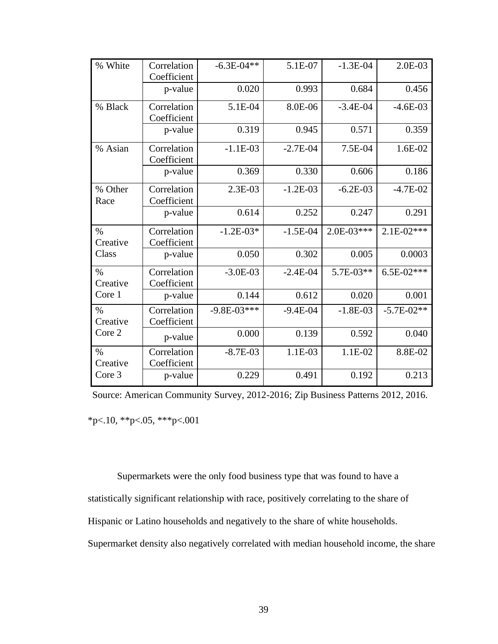| % White                   | Correlation<br>Coefficient | $-6.3E - 04**$  | 5.1E-07      | $-1.3E-04$   | $2.0E-03$    |
|---------------------------|----------------------------|-----------------|--------------|--------------|--------------|
|                           | p-value                    | 0.020           | 0.993        | 0.684        | 0.456        |
| % Black                   | Correlation<br>Coefficient | 5.1E-04         | 8.0E-06      | $-3.4E-04$   | $-4.6E-03$   |
|                           | p-value                    | 0.319           | 0.945        | 0.571        | 0.359        |
| % Asian                   | Correlation<br>Coefficient | $-1.1E-03$      | $-2.7E-04$   | 7.5E-04      | $1.6E-02$    |
|                           | p-value                    | 0.369           | 0.330        | 0.606        | 0.186        |
| % Other<br>Race           | Correlation<br>Coefficient | 2.3E-03         | $-1.2E-03$   | $-6.2E-03$   | $-4.7E-02$   |
|                           | p-value                    | 0.614           | 0.252        | 0.247        | 0.291        |
| $\%$<br>Creative          | Correlation<br>Coefficient | $-1.2E-03*$     | $-1.5E-04$   | $2.0E-03***$ | $2.1E-02***$ |
| Class                     | p-value                    | 0.050           | 0.302        | 0.005        | 0.0003       |
| $\frac{0}{0}$<br>Creative | Correlation<br>Coefficient | $-3.0E-03$      | $-2.4E-04$   | 5.7E-03**    | $6.5E-02***$ |
| Core 1                    | p-value                    | 0.144           | 0.612        | 0.020        | 0.001        |
| $\%$<br>Creative          | Correlation<br>Coefficient | $-9.8E - 03***$ | $-9.4E - 04$ | $-1.8E-03$   | $-5.7E-02**$ |
| Core 2                    | p-value                    | 0.000           | 0.139        | 0.592        | 0.040        |
| $\%$<br>Creative          | Correlation<br>Coefficient | $-8.7E-03$      | 1.1E-03      | 1.1E-02      | 8.8E-02      |
| Core 3                    | p-value                    | 0.229           | 0.491        | 0.192        | 0.213        |

 $*p<.10$ ,  $*p<.05$ ,  $**p<.001$ Source: American Community Survey, 2012-2016; Zip Business Patterns 2012, 2016.

Supermarkets were the only food business type that was found to have a statistically significant relationship with race, positively correlating to the share of Hispanic or Latino households and negatively to the share of white households. Supermarket density also negatively correlated with median household income, the share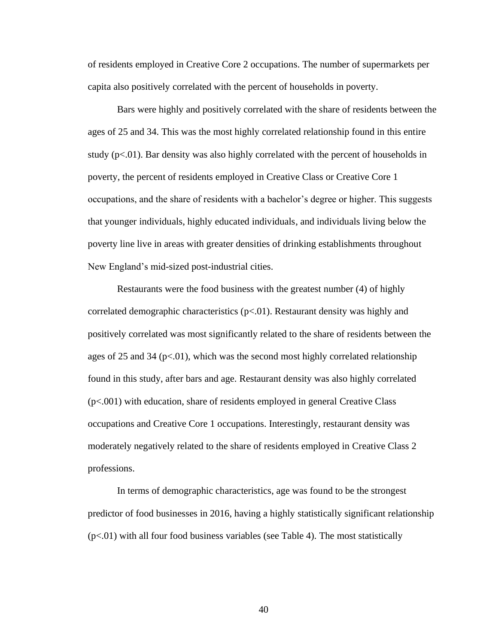of residents employed in Creative Core 2 occupations. The number of supermarkets per capita also positively correlated with the percent of households in poverty.

Bars were highly and positively correlated with the share of residents between the ages of 25 and 34. This was the most highly correlated relationship found in this entire study  $(p<.01)$ . Bar density was also highly correlated with the percent of households in poverty, the percent of residents employed in Creative Class or Creative Core 1 occupations, and the share of residents with a bachelor's degree or higher. This suggests that younger individuals, highly educated individuals, and individuals living below the poverty line live in areas with greater densities of drinking establishments throughout New England's mid-sized post-industrial cities.

Restaurants were the food business with the greatest number (4) of highly correlated demographic characteristics  $(p<0.01)$ . Restaurant density was highly and positively correlated was most significantly related to the share of residents between the ages of 25 and 34 ( $p<0$ 1), which was the second most highly correlated relationship found in this study, after bars and age. Restaurant density was also highly correlated (p<.001) with education, share of residents employed in general Creative Class occupations and Creative Core 1 occupations. Interestingly, restaurant density was moderately negatively related to the share of residents employed in Creative Class 2 professions.

In terms of demographic characteristics, age was found to be the strongest predictor of food businesses in 2016, having a highly statistically significant relationship  $(p<.01)$  with all four food business variables (see Table 4). The most statistically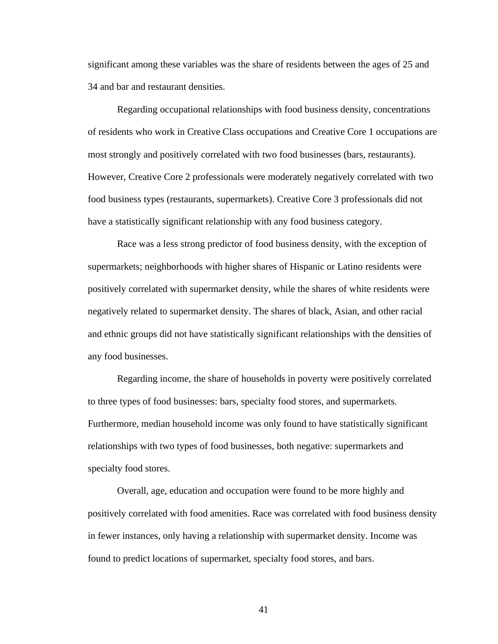significant among these variables was the share of residents between the ages of 25 and 34 and bar and restaurant densities.

Regarding occupational relationships with food business density, concentrations of residents who work in Creative Class occupations and Creative Core 1 occupations are most strongly and positively correlated with two food businesses (bars, restaurants). However, Creative Core 2 professionals were moderately negatively correlated with two food business types (restaurants, supermarkets). Creative Core 3 professionals did not have a statistically significant relationship with any food business category.

Race was a less strong predictor of food business density, with the exception of supermarkets; neighborhoods with higher shares of Hispanic or Latino residents were positively correlated with supermarket density, while the shares of white residents were negatively related to supermarket density. The shares of black, Asian, and other racial and ethnic groups did not have statistically significant relationships with the densities of any food businesses.

Regarding income, the share of households in poverty were positively correlated to three types of food businesses: bars, specialty food stores, and supermarkets. Furthermore, median household income was only found to have statistically significant relationships with two types of food businesses, both negative: supermarkets and specialty food stores.

Overall, age, education and occupation were found to be more highly and positively correlated with food amenities. Race was correlated with food business density in fewer instances, only having a relationship with supermarket density. Income was found to predict locations of supermarket, specialty food stores, and bars.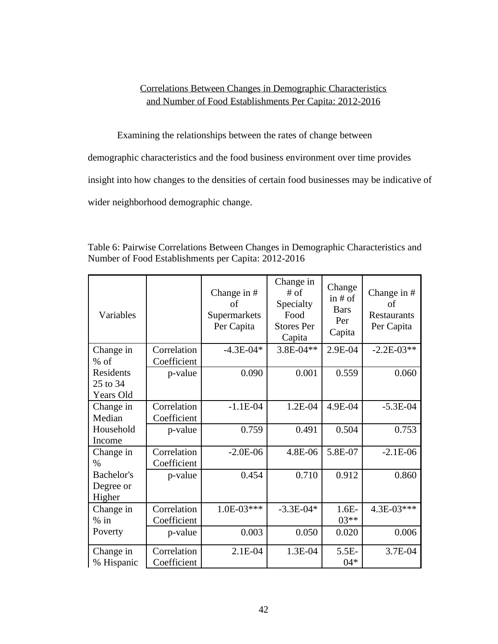### Correlations Between Changes in Demographic Characteristics and Number of Food Establishments Per Capita: 2012-2016

<span id="page-48-0"></span>Examining the relationships between the rates of change between

demographic characteristics and the food business environment over time provides

insight into how changes to the densities of certain food businesses may be indicative of

wider neighborhood demographic change.

| Variables                          |                            | Change in $#$<br>οf<br>Supermarkets<br>Per Capita | Change in<br>$#$ of<br>Specialty<br>Food<br><b>Stores Per</b><br>Capita | Change<br>in $#$ of<br><b>Bars</b><br>Per<br>Capita | Change in $#$<br>of<br><b>Restaurants</b><br>Per Capita |
|------------------------------------|----------------------------|---------------------------------------------------|-------------------------------------------------------------------------|-----------------------------------------------------|---------------------------------------------------------|
| Change in<br>$%$ of                | Correlation<br>Coefficient | $-4.3E-04*$                                       | 3.8E-04**                                                               | 2.9E-04                                             | $-2.2E-03**$                                            |
| Residents<br>25 to 34<br>Years Old | p-value                    | 0.090                                             | 0.001                                                                   | 0.559                                               | 0.060                                                   |
| Change in<br>Median                | Correlation<br>Coefficient | $-1.1E-04$                                        | 1.2E-04                                                                 | 4.9E-04                                             | $-5.3E-04$                                              |
| Household<br>Income                | p-value                    | 0.759                                             | 0.491                                                                   | 0.504                                               | 0.753                                                   |
| Change in<br>$\%$                  | Correlation<br>Coefficient | $-2.0E-06$                                        | 4.8E-06                                                                 | 5.8E-07                                             | $-2.1E-06$                                              |
| Bachelor's<br>Degree or<br>Higher  | p-value                    | 0.454                                             | 0.710                                                                   | 0.912                                               | 0.860                                                   |
| Change in<br>$%$ in                | Correlation<br>Coefficient | $1.0E-03***$                                      | $-3.3E - 04*$                                                           | $1.6E-$<br>$03**$                                   | 4.3E-03***                                              |
| Poverty                            | p-value                    | 0.003                                             | 0.050                                                                   | 0.020                                               | 0.006                                                   |
| Change in<br>% Hispanic            | Correlation<br>Coefficient | 2.1E-04                                           | 1.3E-04                                                                 | $5.5E-$<br>$04*$                                    | 3.7E-04                                                 |

Table 6: Pairwise Correlations Between Changes in Demographic Characteristics and Number of Food Establishments per Capita: 2012-2016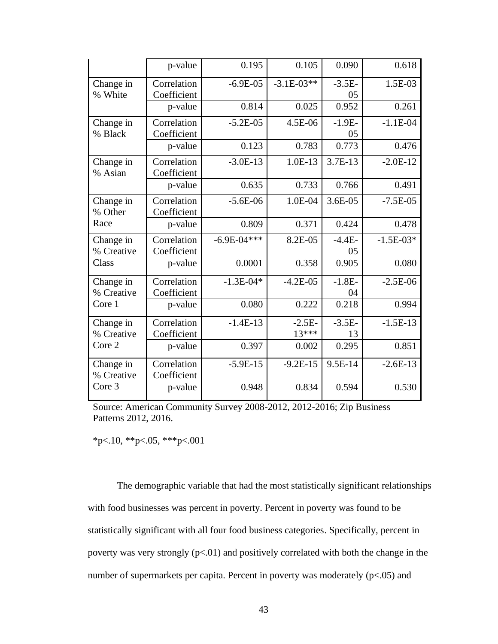|                         | p-value                    | 0.195           | 0.105               | 0.090                      | 0.618       |
|-------------------------|----------------------------|-----------------|---------------------|----------------------------|-------------|
| Change in<br>% White    | Correlation<br>Coefficient | $-6.9E-05$      | $-3.1E-03**$        | $-3.5E-$<br>0 <sub>5</sub> | 1.5E-03     |
|                         | p-value                    | 0.814           | 0.025               | 0.952                      | 0.261       |
| Change in<br>% Black    | Correlation<br>Coefficient | $-5.2E-05$      | 4.5E-06             | $-1.9E-$<br>0 <sub>5</sub> | $-1.1E-04$  |
|                         | p-value                    | 0.123           | 0.783               | 0.773                      | 0.476       |
| Change in<br>% Asian    | Correlation<br>Coefficient | $-3.0E-13$      | 1.0E-13             | 3.7E-13                    | $-2.0E-12$  |
|                         | p-value                    | 0.635           | 0.733               | 0.766                      | 0.491       |
| Change in<br>% Other    | Correlation<br>Coefficient | $-5.6E-06$      | 1.0E-04             | 3.6E-05                    | $-7.5E-05$  |
| Race                    | p-value                    | 0.809           | 0.371               | 0.424                      | 0.478       |
| Change in<br>% Creative | Correlation<br>Coefficient | $-6.9E - 04***$ | 8.2E-05             | $-4.4E-$<br>05             | $-1.5E-03*$ |
| Class                   | p-value                    | 0.0001          | 0.358               | 0.905                      | 0.080       |
| Change in<br>% Creative | Correlation<br>Coefficient | $-1.3E - 04*$   | $-4.2E-05$          | $-1.8E-$<br>04             | $-2.5E-06$  |
| Core 1                  | p-value                    | 0.080           | 0.222               | 0.218                      | 0.994       |
| Change in<br>% Creative | Correlation<br>Coefficient | $-1.4E-13$      | $-2.5E-$<br>$13***$ | $-3.5E-$<br>13             | $-1.5E-13$  |
| Core 2                  | p-value                    | 0.397           | 0.002               | 0.295                      | 0.851       |
| Change in<br>% Creative | Correlation<br>Coefficient | $-5.9E-15$      | $-9.2E-15$          | 9.5E-14                    | $-2.6E-13$  |
| Core 3                  | p-value                    | 0.948           | 0.834               | 0.594                      | 0.530       |

Source: American Community Survey 2008-2012, 2012-2016; Zip Business Patterns 2012, 2016.

 $*p<.10$ ,  $*p<.05$ ,  $***p<.001$ 

The demographic variable that had the most statistically significant relationships with food businesses was percent in poverty. Percent in poverty was found to be statistically significant with all four food business categories. Specifically, percent in poverty was very strongly (p<.01) and positively correlated with both the change in the number of supermarkets per capita. Percent in poverty was moderately (p<.05) and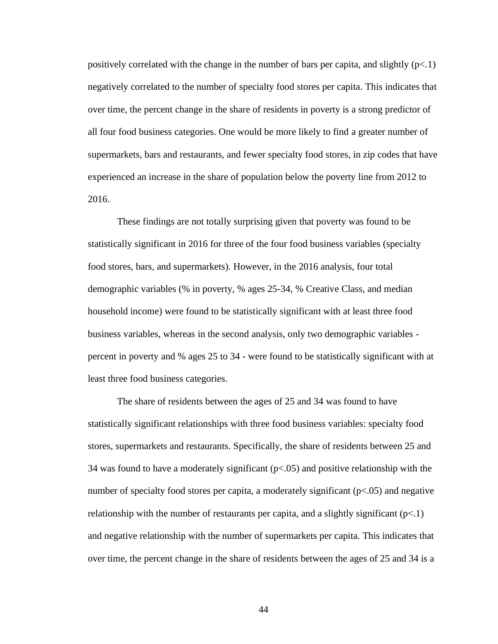positively correlated with the change in the number of bars per capita, and slightly  $(p<.1)$ negatively correlated to the number of specialty food stores per capita. This indicates that over time, the percent change in the share of residents in poverty is a strong predictor of all four food business categories. One would be more likely to find a greater number of supermarkets, bars and restaurants, and fewer specialty food stores, in zip codes that have experienced an increase in the share of population below the poverty line from 2012 to 2016.

These findings are not totally surprising given that poverty was found to be statistically significant in 2016 for three of the four food business variables (specialty food stores, bars, and supermarkets). However, in the 2016 analysis, four total demographic variables (% in poverty, % ages 25-34, % Creative Class, and median household income) were found to be statistically significant with at least three food business variables, whereas in the second analysis, only two demographic variables percent in poverty and % ages 25 to 34 - were found to be statistically significant with at least three food business categories.

The share of residents between the ages of 25 and 34 was found to have statistically significant relationships with three food business variables: specialty food stores, supermarkets and restaurants. Specifically, the share of residents between 25 and 34 was found to have a moderately significant  $(p<0.05)$  and positive relationship with the number of specialty food stores per capita, a moderately significant  $(p<0.05)$  and negative relationship with the number of restaurants per capita, and a slightly significant  $(p<1)$ and negative relationship with the number of supermarkets per capita. This indicates that over time, the percent change in the share of residents between the ages of 25 and 34 is a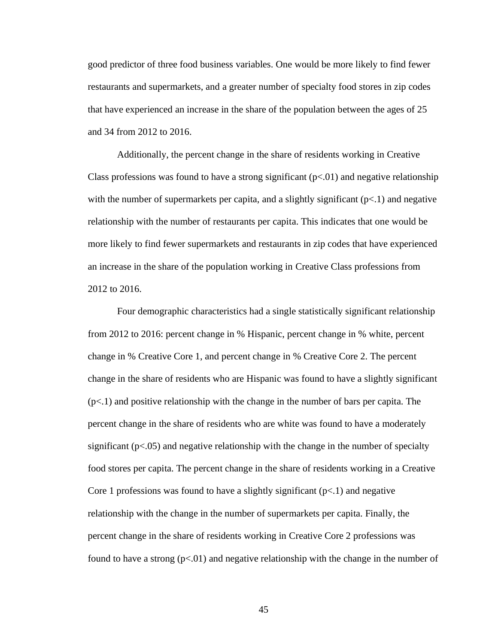good predictor of three food business variables. One would be more likely to find fewer restaurants and supermarkets, and a greater number of specialty food stores in zip codes that have experienced an increase in the share of the population between the ages of 25 and 34 from 2012 to 2016.

Additionally, the percent change in the share of residents working in Creative Class professions was found to have a strong significant  $(p<0.01)$  and negative relationship with the number of supermarkets per capita, and a slightly significant  $(p<1)$  and negative relationship with the number of restaurants per capita. This indicates that one would be more likely to find fewer supermarkets and restaurants in zip codes that have experienced an increase in the share of the population working in Creative Class professions from 2012 to 2016.

Four demographic characteristics had a single statistically significant relationship from 2012 to 2016: percent change in % Hispanic, percent change in % white, percent change in % Creative Core 1, and percent change in % Creative Core 2. The percent change in the share of residents who are Hispanic was found to have a slightly significant  $(p<.1)$  and positive relationship with the change in the number of bars per capita. The percent change in the share of residents who are white was found to have a moderately significant ( $p<0.05$ ) and negative relationship with the change in the number of specialty food stores per capita. The percent change in the share of residents working in a Creative Core 1 professions was found to have a slightly significant  $(p<1)$  and negative relationship with the change in the number of supermarkets per capita. Finally, the percent change in the share of residents working in Creative Core 2 professions was found to have a strong  $(p<0.01)$  and negative relationship with the change in the number of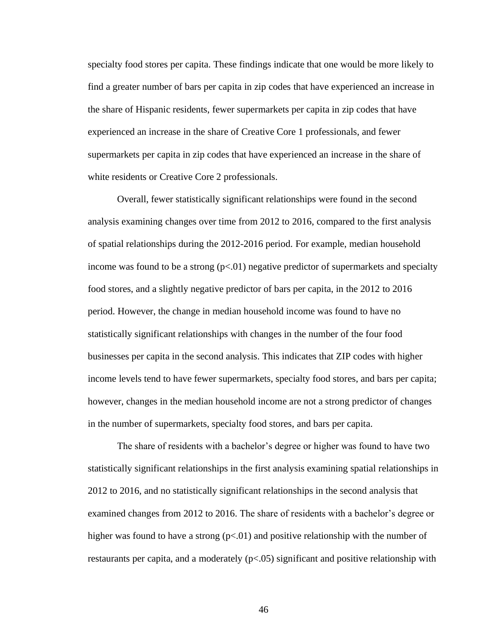specialty food stores per capita. These findings indicate that one would be more likely to find a greater number of bars per capita in zip codes that have experienced an increase in the share of Hispanic residents, fewer supermarkets per capita in zip codes that have experienced an increase in the share of Creative Core 1 professionals, and fewer supermarkets per capita in zip codes that have experienced an increase in the share of white residents or Creative Core 2 professionals.

Overall, fewer statistically significant relationships were found in the second analysis examining changes over time from 2012 to 2016, compared to the first analysis of spatial relationships during the 2012-2016 period. For example, median household income was found to be a strong  $(p<0.01)$  negative predictor of supermarkets and specialty food stores, and a slightly negative predictor of bars per capita, in the 2012 to 2016 period. However, the change in median household income was found to have no statistically significant relationships with changes in the number of the four food businesses per capita in the second analysis. This indicates that ZIP codes with higher income levels tend to have fewer supermarkets, specialty food stores, and bars per capita; however, changes in the median household income are not a strong predictor of changes in the number of supermarkets, specialty food stores, and bars per capita.

The share of residents with a bachelor's degree or higher was found to have two statistically significant relationships in the first analysis examining spatial relationships in 2012 to 2016, and no statistically significant relationships in the second analysis that examined changes from 2012 to 2016. The share of residents with a bachelor's degree or higher was found to have a strong  $(p<0.01)$  and positive relationship with the number of restaurants per capita, and a moderately (p<.05) significant and positive relationship with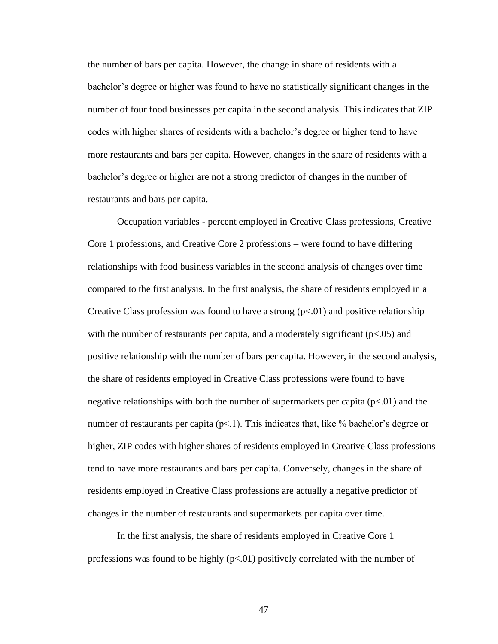the number of bars per capita. However, the change in share of residents with a bachelor's degree or higher was found to have no statistically significant changes in the number of four food businesses per capita in the second analysis. This indicates that ZIP codes with higher shares of residents with a bachelor's degree or higher tend to have more restaurants and bars per capita. However, changes in the share of residents with a bachelor's degree or higher are not a strong predictor of changes in the number of restaurants and bars per capita.

Occupation variables - percent employed in Creative Class professions, Creative Core 1 professions, and Creative Core 2 professions – were found to have differing relationships with food business variables in the second analysis of changes over time compared to the first analysis. In the first analysis, the share of residents employed in a Creative Class profession was found to have a strong  $(p<0.01)$  and positive relationship with the number of restaurants per capita, and a moderately significant ( $p<0.05$ ) and positive relationship with the number of bars per capita. However, in the second analysis, the share of residents employed in Creative Class professions were found to have negative relationships with both the number of supermarkets per capita  $(p<.01)$  and the number of restaurants per capita (p<.1). This indicates that, like % bachelor's degree or higher, ZIP codes with higher shares of residents employed in Creative Class professions tend to have more restaurants and bars per capita. Conversely, changes in the share of residents employed in Creative Class professions are actually a negative predictor of changes in the number of restaurants and supermarkets per capita over time.

In the first analysis, the share of residents employed in Creative Core 1 professions was found to be highly  $(p<.01)$  positively correlated with the number of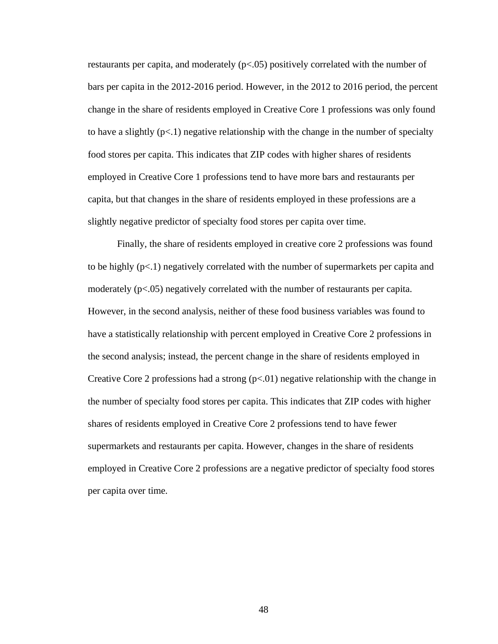restaurants per capita, and moderately (p<.05) positively correlated with the number of bars per capita in the 2012-2016 period. However, in the 2012 to 2016 period, the percent change in the share of residents employed in Creative Core 1 professions was only found to have a slightly  $(p<1)$  negative relationship with the change in the number of specialty food stores per capita. This indicates that ZIP codes with higher shares of residents employed in Creative Core 1 professions tend to have more bars and restaurants per capita, but that changes in the share of residents employed in these professions are a slightly negative predictor of specialty food stores per capita over time.

Finally, the share of residents employed in creative core 2 professions was found to be highly  $(p<.1)$  negatively correlated with the number of supermarkets per capita and moderately  $(p<.05)$  negatively correlated with the number of restaurants per capita. However, in the second analysis, neither of these food business variables was found to have a statistically relationship with percent employed in Creative Core 2 professions in the second analysis; instead, the percent change in the share of residents employed in Creative Core 2 professions had a strong  $(p<01)$  negative relationship with the change in the number of specialty food stores per capita. This indicates that ZIP codes with higher shares of residents employed in Creative Core 2 professions tend to have fewer supermarkets and restaurants per capita. However, changes in the share of residents employed in Creative Core 2 professions are a negative predictor of specialty food stores per capita over time.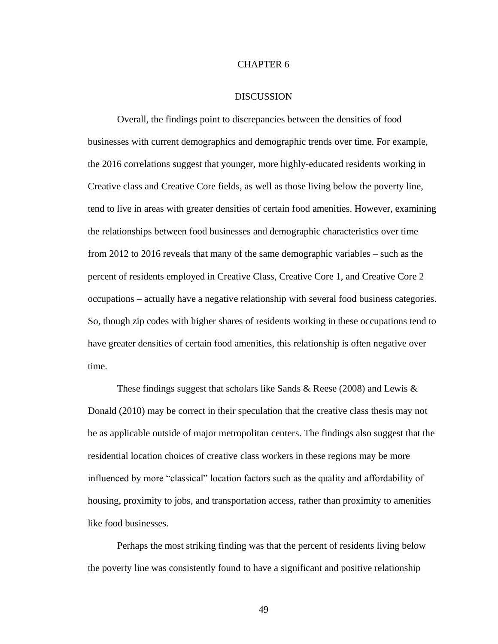### CHAPTER 6

#### DISCUSSION

<span id="page-55-0"></span>Overall, the findings point to discrepancies between the densities of food businesses with current demographics and demographic trends over time. For example, the 2016 correlations suggest that younger, more highly-educated residents working in Creative class and Creative Core fields, as well as those living below the poverty line, tend to live in areas with greater densities of certain food amenities. However, examining the relationships between food businesses and demographic characteristics over time from 2012 to 2016 reveals that many of the same demographic variables – such as the percent of residents employed in Creative Class, Creative Core 1, and Creative Core 2 occupations – actually have a negative relationship with several food business categories. So, though zip codes with higher shares of residents working in these occupations tend to have greater densities of certain food amenities, this relationship is often negative over time.

These findings suggest that scholars like Sands & Reese (2008) and Lewis & Donald (2010) may be correct in their speculation that the creative class thesis may not be as applicable outside of major metropolitan centers. The findings also suggest that the residential location choices of creative class workers in these regions may be more influenced by more "classical" location factors such as the quality and affordability of housing, proximity to jobs, and transportation access, rather than proximity to amenities like food businesses.

Perhaps the most striking finding was that the percent of residents living below the poverty line was consistently found to have a significant and positive relationship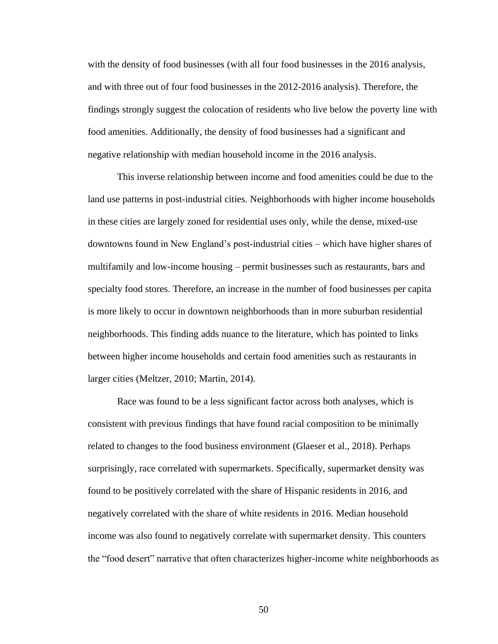with the density of food businesses (with all four food businesses in the 2016 analysis, and with three out of four food businesses in the 2012-2016 analysis). Therefore, the findings strongly suggest the colocation of residents who live below the poverty line with food amenities. Additionally, the density of food businesses had a significant and negative relationship with median household income in the 2016 analysis.

This inverse relationship between income and food amenities could be due to the land use patterns in post-industrial cities. Neighborhoods with higher income households in these cities are largely zoned for residential uses only, while the dense, mixed-use downtowns found in New England's post-industrial cities – which have higher shares of multifamily and low-income housing – permit businesses such as restaurants, bars and specialty food stores. Therefore, an increase in the number of food businesses per capita is more likely to occur in downtown neighborhoods than in more suburban residential neighborhoods. This finding adds nuance to the literature, which has pointed to links between higher income households and certain food amenities such as restaurants in larger cities (Meltzer, 2010; Martin, 2014).

Race was found to be a less significant factor across both analyses, which is consistent with previous findings that have found racial composition to be minimally related to changes to the food business environment (Glaeser et al., 2018). Perhaps surprisingly, race correlated with supermarkets. Specifically, supermarket density was found to be positively correlated with the share of Hispanic residents in 2016, and negatively correlated with the share of white residents in 2016. Median household income was also found to negatively correlate with supermarket density. This counters the "food desert" narrative that often characterizes higher-income white neighborhoods as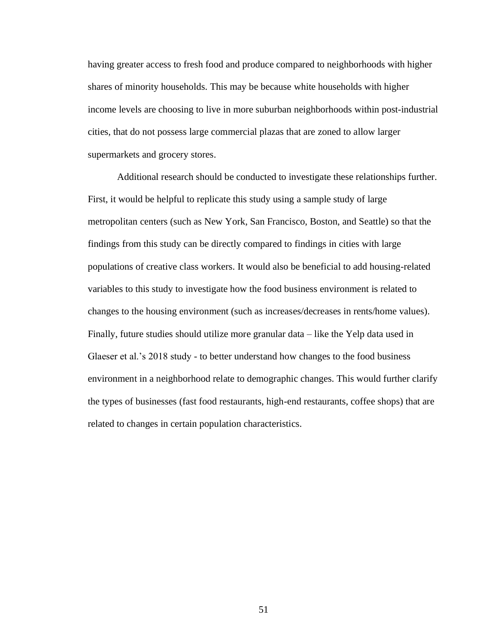having greater access to fresh food and produce compared to neighborhoods with higher shares of minority households. This may be because white households with higher income levels are choosing to live in more suburban neighborhoods within post-industrial cities, that do not possess large commercial plazas that are zoned to allow larger supermarkets and grocery stores.

Additional research should be conducted to investigate these relationships further. First, it would be helpful to replicate this study using a sample study of large metropolitan centers (such as New York, San Francisco, Boston, and Seattle) so that the findings from this study can be directly compared to findings in cities with large populations of creative class workers. It would also be beneficial to add housing-related variables to this study to investigate how the food business environment is related to changes to the housing environment (such as increases/decreases in rents/home values). Finally, future studies should utilize more granular data – like the Yelp data used in Glaeser et al.'s 2018 study - to better understand how changes to the food business environment in a neighborhood relate to demographic changes. This would further clarify the types of businesses (fast food restaurants, high-end restaurants, coffee shops) that are related to changes in certain population characteristics.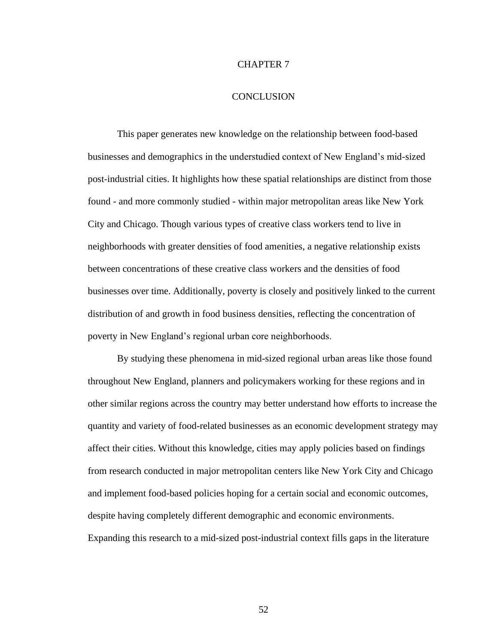### CHAPTER 7

### **CONCLUSION**

<span id="page-58-0"></span>This paper generates new knowledge on the relationship between food-based businesses and demographics in the understudied context of New England's mid-sized post-industrial cities. It highlights how these spatial relationships are distinct from those found - and more commonly studied - within major metropolitan areas like New York City and Chicago. Though various types of creative class workers tend to live in neighborhoods with greater densities of food amenities, a negative relationship exists between concentrations of these creative class workers and the densities of food businesses over time. Additionally, poverty is closely and positively linked to the current distribution of and growth in food business densities, reflecting the concentration of poverty in New England's regional urban core neighborhoods.

By studying these phenomena in mid-sized regional urban areas like those found throughout New England, planners and policymakers working for these regions and in other similar regions across the country may better understand how efforts to increase the quantity and variety of food-related businesses as an economic development strategy may affect their cities. Without this knowledge, cities may apply policies based on findings from research conducted in major metropolitan centers like New York City and Chicago and implement food-based policies hoping for a certain social and economic outcomes, despite having completely different demographic and economic environments. Expanding this research to a mid-sized post-industrial context fills gaps in the literature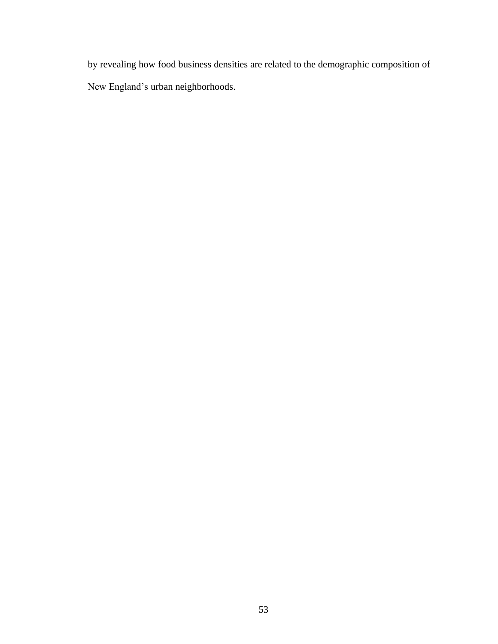by revealing how food business densities are related to the demographic composition of New England's urban neighborhoods.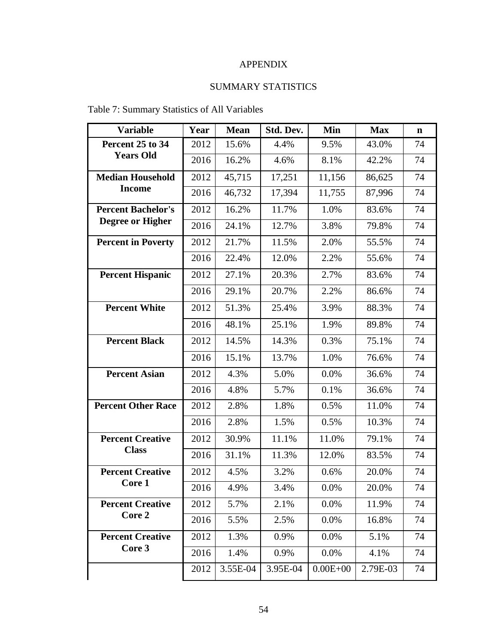# APPENDIX

# SUMMARY STATISTICS

# <span id="page-60-0"></span>Table 7: Summary Statistics of All Variables

| <b>Variable</b>                                      | Year | <b>Mean</b> | Std. Dev. | Min          | <b>Max</b> | $\mathbf n$ |
|------------------------------------------------------|------|-------------|-----------|--------------|------------|-------------|
| Percent 25 to 34                                     | 2012 | 15.6%       | 4.4%      | 9.5%         | 43.0%      | 74          |
| <b>Years Old</b>                                     | 2016 | 16.2%       | 4.6%      | 8.1%         | 42.2%      | 74          |
| <b>Median Household</b>                              | 2012 | 45,715      | 17,251    | 11,156       | 86,625     | 74          |
| <b>Income</b>                                        | 2016 | 46,732      | 17,394    | 11,755       | 87,996     | 74          |
| <b>Percent Bachelor's</b><br><b>Degree or Higher</b> | 2012 | 16.2%       | 11.7%     | 1.0%         | 83.6%      | 74          |
|                                                      | 2016 | 24.1%       | 12.7%     | 3.8%         | 79.8%      | 74          |
| <b>Percent in Poverty</b>                            | 2012 | 21.7%       | 11.5%     | 2.0%         | 55.5%      | 74          |
|                                                      | 2016 | 22.4%       | 12.0%     | 2.2%         | 55.6%      | 74          |
| <b>Percent Hispanic</b>                              | 2012 | 27.1%       | 20.3%     | 2.7%         | 83.6%      | 74          |
|                                                      | 2016 | 29.1%       | 20.7%     | 2.2%         | 86.6%      | 74          |
| <b>Percent White</b>                                 | 2012 | 51.3%       | 25.4%     | 3.9%         | 88.3%      | 74          |
|                                                      | 2016 | 48.1%       | 25.1%     | 1.9%         | 89.8%      | 74          |
| <b>Percent Black</b>                                 | 2012 | 14.5%       | 14.3%     | 0.3%         | 75.1%      | 74          |
|                                                      | 2016 | 15.1%       | 13.7%     | 1.0%         | 76.6%      | 74          |
| <b>Percent Asian</b>                                 | 2012 | 4.3%        | 5.0%      | 0.0%         | 36.6%      | 74          |
|                                                      | 2016 | 4.8%        | 5.7%      | 0.1%         | 36.6%      | 74          |
| <b>Percent Other Race</b>                            | 2012 | 2.8%        | 1.8%      | 0.5%         | 11.0%      | 74          |
|                                                      | 2016 | 2.8%        | 1.5%      | 0.5%         | 10.3%      | 74          |
| <b>Percent Creative</b><br><b>Class</b>              | 2012 | 30.9%       | 11.1%     | 11.0%        | 79.1%      | 74          |
|                                                      | 2016 | 31.1%       | 11.3%     | 12.0%        | 83.5%      | 74          |
| <b>Percent Creative</b>                              | 2012 | 4.5%        | 3.2%      | 0.6%         | 20.0%      | 74          |
| <b>Core 1</b>                                        | 2016 | 4.9%        | 3.4%      | 0.0%         | 20.0%      | 74          |
| <b>Percent Creative</b><br>Core 2                    | 2012 | 5.7%        | 2.1%      | 0.0%         | 11.9%      | 74          |
|                                                      | 2016 | 5.5%        | 2.5%      | 0.0%         | 16.8%      | 74          |
| <b>Percent Creative</b><br>Core 3                    | 2012 | 1.3%        | 0.9%      | 0.0%         | 5.1%       | 74          |
|                                                      | 2016 | 1.4%        | 0.9%      | 0.0%         | 4.1%       | 74          |
|                                                      | 2012 | 3.55E-04    | 3.95E-04  | $0.00E + 00$ | 2.79E-03   | 74          |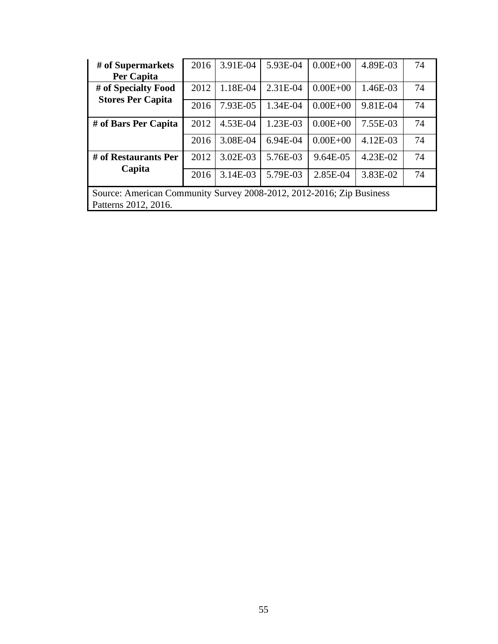| # of Supermarkets                                                    | 2016 | 3.91E-04     | 5.93E-04 | $0.00E + 00$ | 4.89E-03 | 74 |  |  |  |
|----------------------------------------------------------------------|------|--------------|----------|--------------|----------|----|--|--|--|
| Per Capita                                                           |      |              |          |              |          |    |  |  |  |
| # of Specialty Food                                                  | 2012 | 1.18E-04     | 2.31E-04 | $0.00E + 00$ | 1.46E-03 | 74 |  |  |  |
| <b>Stores Per Capita</b>                                             | 2016 | 7.93E-05     | 1.34E-04 | $0.00E + 00$ | 9.81E-04 | 74 |  |  |  |
| # of Bars Per Capita                                                 | 2012 | 4.53E-04     | 1.23E-03 | $0.00E + 00$ | 7.55E-03 | 74 |  |  |  |
|                                                                      | 2016 | 3.08E-04     | 6.94E-04 | $0.00E + 00$ | 4.12E-03 | 74 |  |  |  |
| # of Restaurants Per                                                 | 2012 | $3.02E - 03$ | 5.76E-03 | 9.64E-05     | 4.23E-02 | 74 |  |  |  |
| Capita                                                               | 2016 | 3.14E-03     | 5.79E-03 | 2.85E-04     | 3.83E-02 | 74 |  |  |  |
| Source: American Community Survey 2008-2012, 2012-2016; Zip Business |      |              |          |              |          |    |  |  |  |
| Patterns 2012, 2016.                                                 |      |              |          |              |          |    |  |  |  |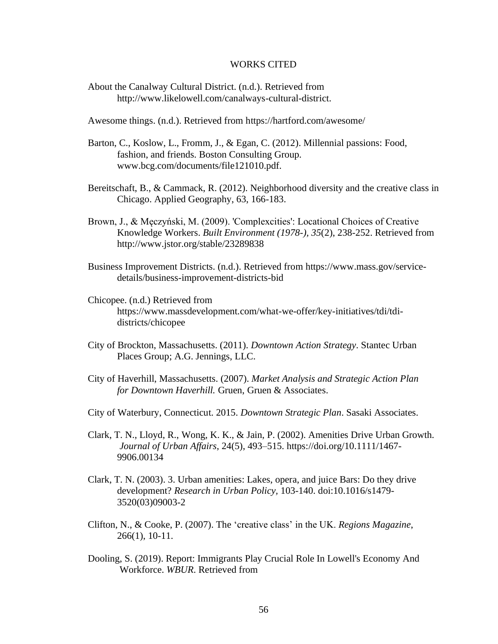### WORKS CITED

<span id="page-62-0"></span>About the Canalway Cultural District. (n.d.). Retrieved from http://www.likelowell.com/canalways-cultural-district.

Awesome things. (n.d.). Retrieved from https://hartford.com/awesome/

- Barton, C., Koslow, L., Fromm, J., & Egan, C. (2012). Millennial passions: Food, fashion, and friends. Boston Consulting Group. www.bcg.com/documents/file121010.pdf.
- Bereitschaft, B., & Cammack, R. (2012). Neighborhood diversity and the creative class in Chicago. Applied Geography, 63, 166-183.
- Brown, J., & Męczyński, M. (2009). 'Complexcities': Locational Choices of Creative Knowledge Workers. *Built Environment (1978-), 35*(2), 238-252. Retrieved from http://www.jstor.org/stable/23289838
- Business Improvement Districts. (n.d.). Retrieved from https://www.mass.gov/servicedetails/business-improvement-districts-bid
- Chicopee. (n.d.) Retrieved from https://www.massdevelopment.com/what-we-offer/key-initiatives/tdi/tdidistricts/chicopee
- City of Brockton, Massachusetts. (2011). *Downtown Action Strategy*. Stantec Urban Places Group; A.G. Jennings, LLC.
- City of Haverhill, Massachusetts. (2007). *Market Analysis and Strategic Action Plan for Downtown Haverhill.* Gruen, Gruen & Associates.
- City of Waterbury, Connecticut. 2015. *Downtown Strategic Plan*. Sasaki Associates.
- Clark, T. N., Lloyd, R., Wong, K. K., & Jain, P. (2002). Amenities Drive Urban Growth. *Journal of Urban Affairs*, 24(5), 493–515. https://doi.org/10.1111/1467- 9906.00134
- Clark, T. N. (2003). 3. Urban amenities: Lakes, opera, and juice Bars: Do they drive development? *Research in Urban Policy,* 103-140. doi:10.1016/s1479- 3520(03)09003-2
- Clifton, N., & Cooke, P. (2007). The 'creative class' in the UK. *Regions Magazine*, 266(1), 10-11.
- Dooling, S. (2019). Report: Immigrants Play Crucial Role In Lowell's Economy And Workforce. *WBUR*. Retrieved from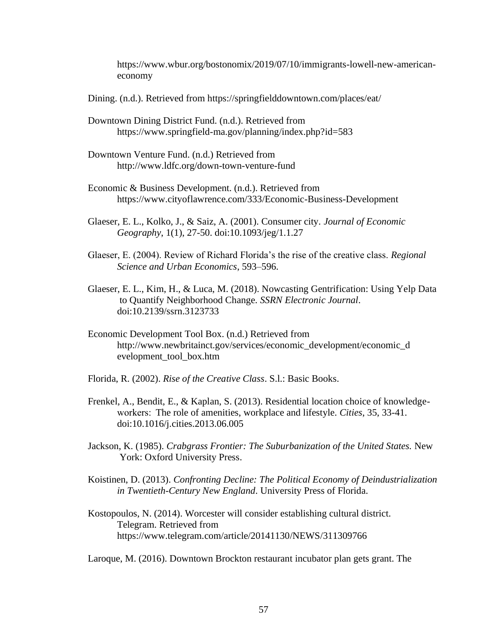https://www.wbur.org/bostonomix/2019/07/10/immigrants-lowell-new-americaneconomy

Dining. (n.d.). Retrieved from https://springfielddowntown.com/places/eat/

- Downtown Dining District Fund. (n.d.). Retrieved from https://www.springfield-ma.gov/planning/index.php?id=583
- Downtown Venture Fund. (n.d.) Retrieved from http://www.ldfc.org/down-town-venture-fund
- Economic & Business Development. (n.d.). Retrieved from https://www.cityoflawrence.com/333/Economic-Business-Development
- Glaeser, E. L., Kolko, J., & Saiz, A. (2001). Consumer city. *Journal of Economic Geography*, 1(1), 27-50. doi:10.1093/jeg/1.1.27
- Glaeser, E. (2004). Review of Richard Florida's the rise of the creative class. *Regional Science and Urban Economics*, 593–596.
- Glaeser, E. L., Kim, H., & Luca, M. (2018). Nowcasting Gentrification: Using Yelp Data to Quantify Neighborhood Change. *SSRN Electronic Journal*. doi:10.2139/ssrn.3123733
- Economic Development Tool Box. (n.d.) Retrieved from http://www.newbritainct.gov/services/economic\_development/economic\_d evelopment\_tool\_box.htm
- Florida, R. (2002). *Rise of the Creative Class*. S.l.: Basic Books.
- Frenkel, A., Bendit, E., & Kaplan, S. (2013). Residential location choice of knowledgeworkers:  The role of amenities, workplace and lifestyle. *Cities*, 35, 33-41. doi:10.1016/j.cities.2013.06.005
- Jackson, K. (1985). *Crabgrass Frontier: The Suburbanization of the United States.* New York: Oxford University Press.
- Koistinen, D. (2013). *Confronting Decline: The Political Economy of Deindustrialization in Twentieth-Century New England*. University Press of Florida.
- Kostopoulos, N. (2014). Worcester will consider establishing cultural district. Telegram. Retrieved from https://www.telegram.com/article/20141130/NEWS/311309766

Laroque, M. (2016). Downtown Brockton restaurant incubator plan gets grant. The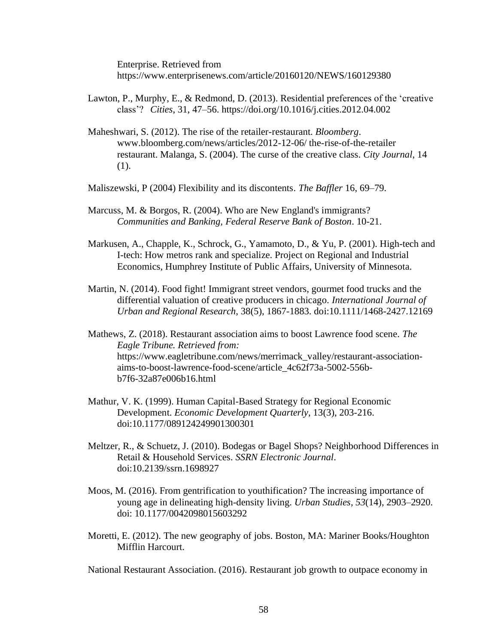Enterprise. Retrieved from https://www.enterprisenews.com/article/20160120/NEWS/160129380

- Lawton, P., Murphy, E., & Redmond, D. (2013). Residential preferences of the 'creative class'?   *Cities*, 31, 47–56. https://doi.org/10.1016/j.cities.2012.04.002
- Maheshwari, S. (2012). The rise of the retailer-restaurant. *Bloomberg*. www.bloomberg.com/news/articles/2012-12-06/ the-rise-of-the-retailer restaurant. Malanga, S. (2004). The curse of the creative class. *City Journal*, 14 (1).
- Maliszewski, P (2004) Flexibility and its discontents. *The Baffler* 16, 69–79.
- Marcuss, M. & Borgos, R. (2004). Who are New England's immigrants? *Communities and Banking, Federal Reserve Bank of Boston*. 10-21.
- Markusen, A., Chapple, K., Schrock, G., Yamamoto, D., & Yu, P. (2001). High-tech and I-tech: How metros rank and specialize. Project on Regional and Industrial Economics, Humphrey Institute of Public Affairs, University of Minnesota.
- Martin, N. (2014). Food fight! Immigrant street vendors, gourmet food trucks and the differential valuation of creative producers in chicago. *International Journal of Urban and Regional Research*, 38(5), 1867-1883. doi:10.1111/1468-2427.12169
- Mathews, Z. (2018). Restaurant association aims to boost Lawrence food scene. *The Eagle Tribune. Retrieved from:*  https://www.eagletribune.com/news/merrimack\_valley/restaurant-associationaims-to-boost-lawrence-food-scene/article\_4c62f73a-5002-556bb7f6-32a87e006b16.html
- Mathur, V. K. (1999). Human Capital-Based Strategy for Regional Economic Development. *Economic Development Quarterly*, 13(3), 203-216. doi:10.1177/089124249901300301
- Meltzer, R., & Schuetz, J. (2010). Bodegas or Bagel Shops? Neighborhood Differences in Retail & Household Services. *SSRN Electronic Journal*. doi:10.2139/ssrn.1698927
- Moos, M. (2016). From gentrification to youthification? The increasing importance of young age in delineating high-density living. *Urban Studies*, *53*(14), 2903–2920. doi: 10.1177/0042098015603292
- Moretti, E. (2012). The new geography of jobs. Boston, MA: Mariner Books/Houghton Mifflin Harcourt.

National Restaurant Association. (2016). Restaurant job growth to outpace economy in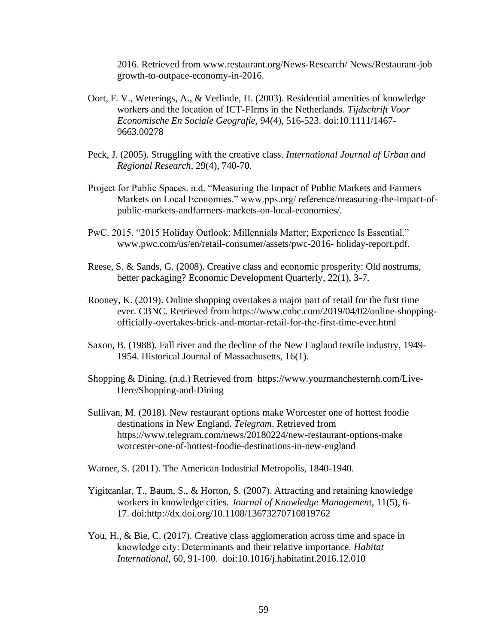2016. Retrieved from www.restaurant.org/News-Research/ News/Restaurant-job growth-to-outpace-economy-in-2016.

- Oort, F. V., Weterings, A., & Verlinde, H. (2003). Residential amenities of knowledge workers and the location of ICT-FIrms in the Netherlands. *Tijdschrift Voor Economische En Sociale Geografie*, 94(4), 516-523. doi:10.1111/1467- 9663.00278
- Peck, J. (2005). Struggling with the creative class. *International Journal of Urban and Regional Research,* 29(4), 740-70.
- Project for Public Spaces. n.d. "Measuring the Impact of Public Markets and Farmers Markets on Local Economies." www.pps.org/ reference/measuring-the-impact-ofpublic-markets-andfarmers-markets-on-local-economies/.
- PwC. 2015. "2015 Holiday Outlook: Millennials Matter; Experience Is Essential." www.pwc.com/us/en/retail-consumer/assets/pwc-2016- holiday-report.pdf.
- Reese, S. & Sands, G. (2008). Creative class and economic prosperity: Old nostrums, better packaging? Economic Development Quarterly, 22(1), 3-7.
- Rooney, K. (2019). Online shopping overtakes a major part of retail for the first time ever. CBNC. Retrieved from https://www.cnbc.com/2019/04/02/online-shoppingofficially-overtakes-brick-and-mortar-retail-for-the-first-time-ever.html
- Saxon, B. (1988). Fall river and the decline of the New England textile industry, 1949- 1954. Historical Journal of Massachusetts, 16(1).
- Shopping & Dining. (n.d.) Retrieved from https://www.yourmanchesternh.com/Live-Here/Shopping-and-Dining
- Sullivan, M. (2018). New restaurant options make Worcester one of hottest foodie destinations in New England. *Telegram*. Retrieved from https://www.telegram.com/news/20180224/new-restaurant-options-make worcester-one-of-hottest-foodie-destinations-in-new-england
- Warner, S. (2011). The American Industrial Metropolis, 1840-1940.
- Yigitcanlar, T., Baum, S., & Horton, S. (2007). Attracting and retaining knowledge workers in knowledge cities*. Journal of Knowledge Managemen*t, 11(5), 6- 17. doi:http://dx.doi.org/10.1108/13673270710819762
- You, H., & Bie, C. (2017). Creative class agglomeration across time and space in knowledge city: Determinants and their relative importance*. Habitat International*, 60, 91-100.  doi:10.1016/j.habitatint.2016.12.010